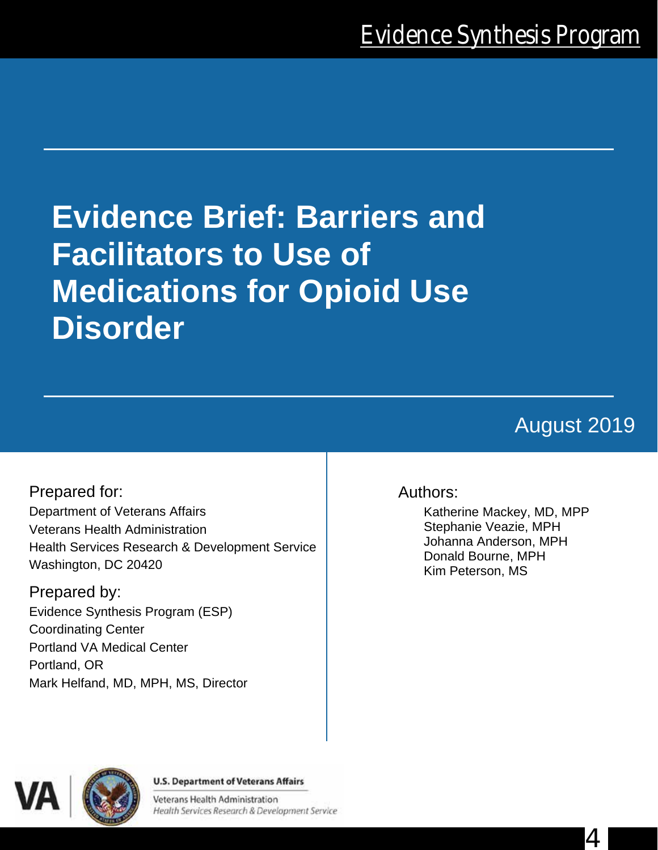# **Evidence Brief: Barriers and Facilitators to Use of Medications for Opioid Use Disorder**

# August 2019

4

Prepared for: Department of Veterans Affairs Veterans Health Administration Health Services Research & Development Service Washington, DC 20420

Prepared by: Evidence Synthesis Program (ESP) Coordinating Center Portland VA Medical Center Portland, OR Mark Helfand, MD, MPH, MS, Director

# Authors:

Katherine Mackey, MD, MPP Stephanie Veazie, MPH Johanna Anderson, MPH Donald Bourne, MPH Kim Peterson, MS



#### **U.S. Department of Veterans Affairs**

Veterans Health Administration Health Services Research & Development Service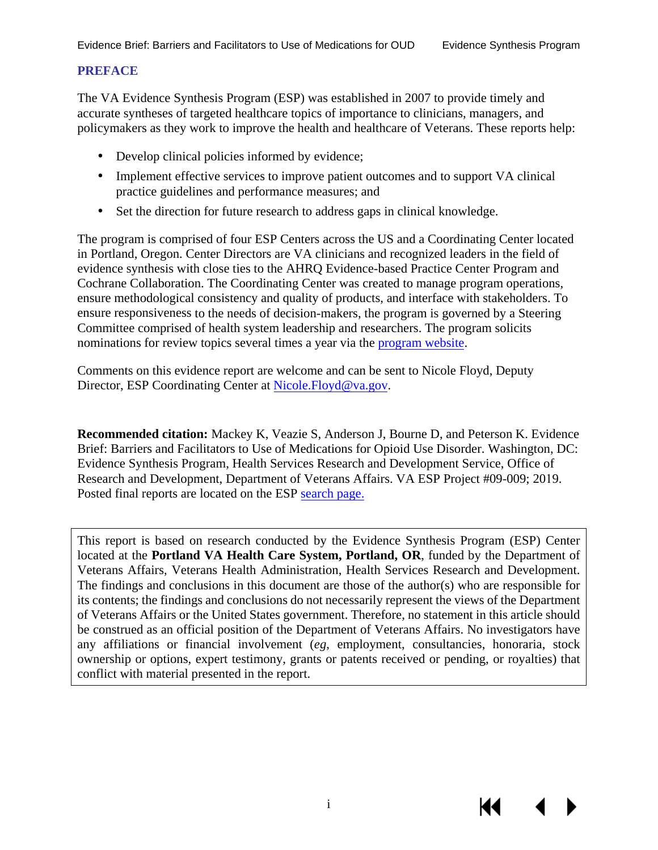#### **PREFACE**

The VA Evidence Synthesis Program (ESP) was established in 2007 to provide timely and accurate syntheses of targeted healthcare topics of importance to clinicians, managers, and policymakers as they work to improve the health and healthcare of Veterans. These reports help:

- Develop clinical policies informed by evidence;
- a. Implement effective services to improve patient outcomes and to support VA clinical practice guidelines and performance measures; and
- ä, Set the direction for future research to address gaps in clinical knowledge.

The program is comprised of four ESP Centers across the US and a Coordinating Center located in Portland, Oregon. Center Directors are VA clinicians and recognized leaders in the field of evidence synthesis with close ties to the AHRQ Evidence-based Practice Center Program and Cochrane Collaboration. The Coordinating Center was created to manage program operations, ensure methodological consistency and quality of products, and interface with stakeholders. To ensure responsiveness to the needs of decision-makers, the program is governed by a Steering Committee comprised of health system leadership and researchers. The program solicits nominations for review topics several times a year via the [program website.](https://www.hsrd.research.va.gov/publications/esp/TopicNomination.cfm)

Comments on this evidence report are welcome and can be sent to Nicole Floyd, Deputy Director, ESP Coordinating Center at Nicole. Floyd@va.gov.

**Recommended citation:** Mackey K, Veazie S, Anderson J, Bourne D, and Peterson K. Evidence Brief: Barriers and Facilitators to Use of Medications for Opioid Use Disorder. Washington, DC: Evidence Synthesis Program, Health Services Research and Development Service, Office of Research and Development, Department of Veterans Affairs. VA ESP Project #09-009; 2019. Posted final reports are located on the ESP [search page.](https://www.hsrd.research.va.gov/publications/esp/reports.cfm)

This report is based on research conducted by the Evidence Synthesis Program (ESP) Center located at the **Portland VA Health Care System, Portland, OR**, funded by the Department of Veterans Affairs, Veterans Health Administration, Health Services Research and Development. The findings and conclusions in this document are those of the author(s) who are responsible for its contents; the findings and conclusions do not necessarily represent the views of the Department of Veterans Affairs or the United States government. Therefore, no statement in this article should be construed as an official position of the Department of Veterans Affairs. No investigators have any affiliations or financial involvement (*eg*, employment, consultancies, honoraria, stock ownership or options, expert testimony, grants or patents received or pending, or royalties) that conflict with material presented in the report.

К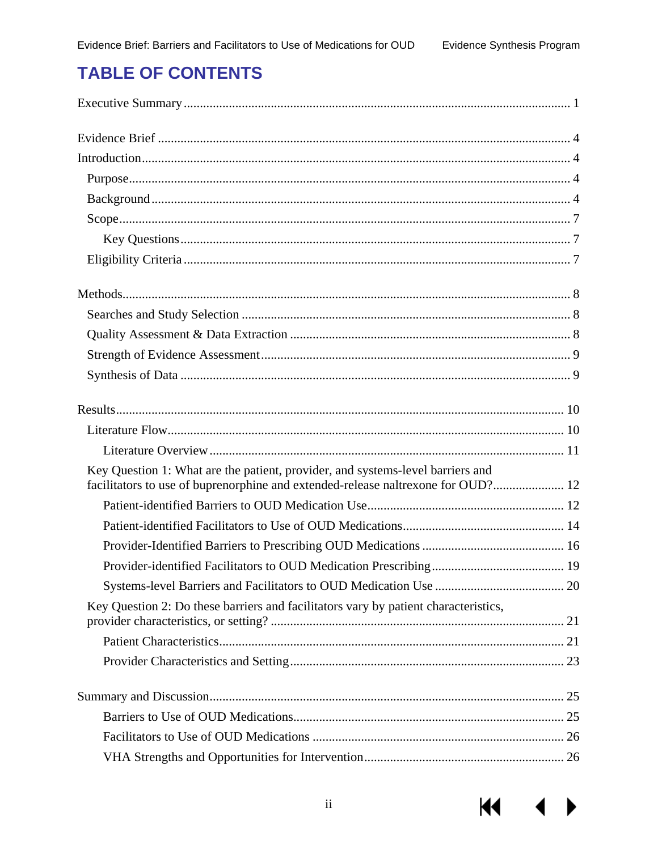$M$ 

 $\blacklozenge$ 

# **TABLE OF CONTENTS**

| Key Question 1: What are the patient, provider, and systems-level barriers and<br>facilitators to use of buprenorphine and extended-release naltrexone for OUD? 12 |  |
|--------------------------------------------------------------------------------------------------------------------------------------------------------------------|--|
|                                                                                                                                                                    |  |
|                                                                                                                                                                    |  |
|                                                                                                                                                                    |  |
|                                                                                                                                                                    |  |
|                                                                                                                                                                    |  |
| Key Question 2: Do these barriers and facilitators vary by patient characteristics,                                                                                |  |
|                                                                                                                                                                    |  |
|                                                                                                                                                                    |  |
|                                                                                                                                                                    |  |
|                                                                                                                                                                    |  |
|                                                                                                                                                                    |  |
|                                                                                                                                                                    |  |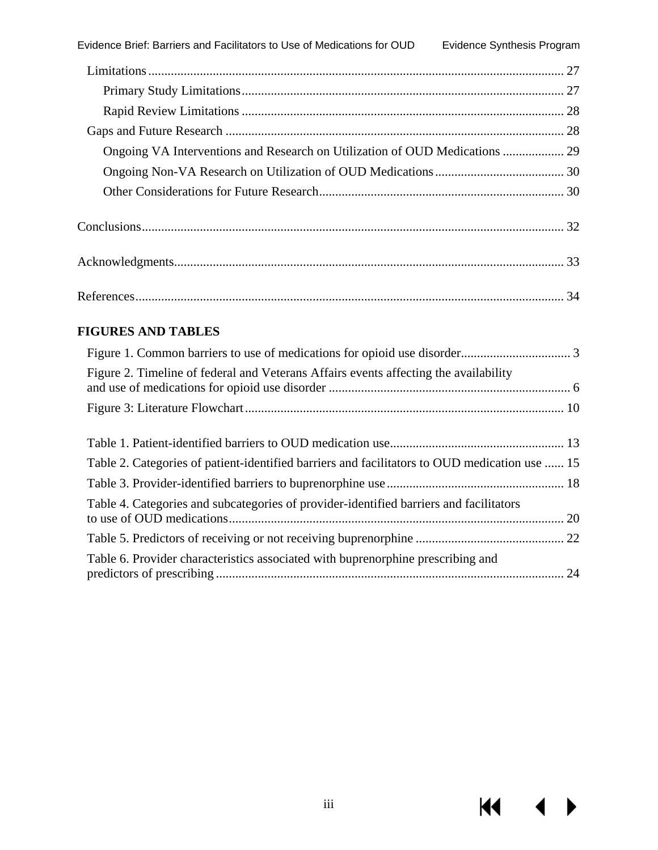| Ongoing VA Interventions and Research on Utilization of OUD Medications  29 |  |
|-----------------------------------------------------------------------------|--|
|                                                                             |  |
|                                                                             |  |
|                                                                             |  |
|                                                                             |  |
|                                                                             |  |

#### **FIGURES AND TABLES**

| Figure 2. Timeline of federal and Veterans Affairs events affecting the availability          |  |
|-----------------------------------------------------------------------------------------------|--|
|                                                                                               |  |
|                                                                                               |  |
|                                                                                               |  |
| Table 2. Categories of patient-identified barriers and facilitators to OUD medication use  15 |  |
|                                                                                               |  |
| Table 4. Categories and subcategories of provider-identified barriers and facilitators        |  |
|                                                                                               |  |
| Table 6. Provider characteristics associated with buprenorphine prescribing and               |  |

К€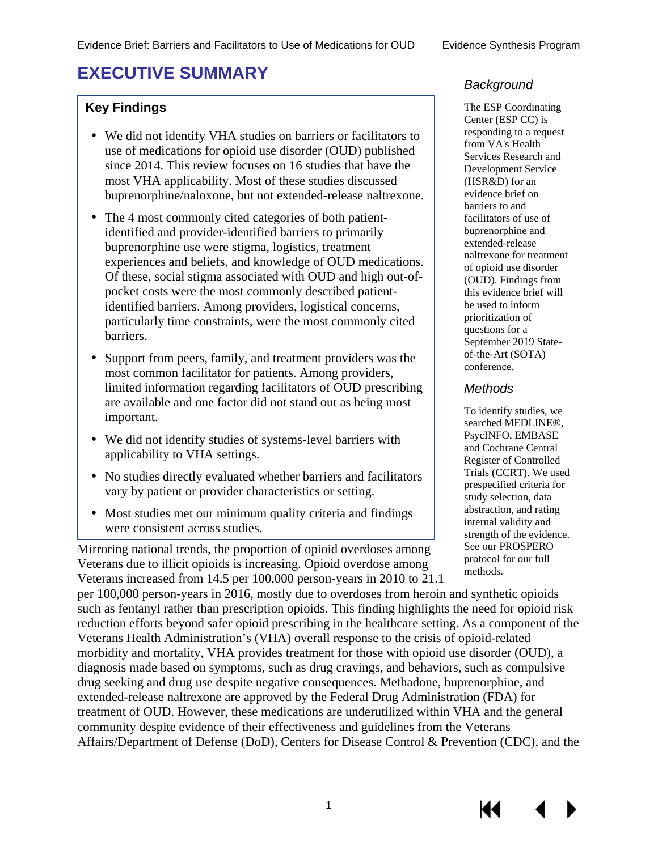# <span id="page-4-0"></span>**EXECUTIVE SUMMARY**

#### **Key Findings**

- We did not identify VHA studies on barriers or facilitators to use of medications for opioid use disorder (OUD) published since 2014. This review focuses on 16 studies that have the most VHA applicability. Most of these studies discussed buprenorphine/naloxone, but not extended-release naltrexone.
- The 4 most commonly cited categories of both patient- $\mathbf{r}^{\prime}$ identified and provider-identified barriers to primarily buprenorphine use were stigma, logistics, treatment experiences and beliefs, and knowledge of OUD medications. Of these, social stigma associated with OUD and high out-ofpocket costs were the most commonly described patientidentified barriers. Among providers, logistical concerns, particularly time constraints, were the most commonly cited barriers.
- Support from peers, family, and treatment providers was the  $\mathbf{r}^{\prime}$ most common facilitator for patients. Among providers, limited information regarding facilitators of OUD prescribing are available and one factor did not stand out as being most important.
- We did not identify studies of systems-level barriers with applicability to VHA settings.
- No studies directly evaluated whether barriers and facilitators vary by patient or provider characteristics or setting.
- Most studies met our minimum quality criteria and findings were consistent across studies.

 Mirroring national trends, the proportion of opioid overdoses among Veterans due to illicit opioids is increasing. Opioid overdose among Veterans increased from 14.5 per 100,000 person-years in 2010 to 21.1

#### *Background*

The ESP Coordinating Center (ESP CC) is responding to a request from VA's Health Services Research and Development Service (HSR&D) for an evidence brief on barriers to and facilitators of use of buprenorphine and extended-release naltrexone for treatment of opioid use disorder (OUD). Findings from this evidence brief will be used to inform prioritization of questions for a September 2019 Stateof-the-Art (SOTA) conference.

#### *Methods*

To identify studies, we searched MEDLINE®, PsycINFO, EMBASE and Cochrane Central Register of Controlled Trials (CCRT). We used prespecified criteria for study selection, data abstraction, and rating internal validity and strength of the evidence. See our PROSPERO protocol for our full methods.

per 100,000 person-years in 2016, mostly due to overdoses from heroin and synthetic opioids such as fentanyl rather than prescription opioids. This finding highlights the need for opioid risk reduction efforts beyond safer opioid prescribing in the healthcare setting. As a component of the Veterans Health Administration's (VHA) overall response to the crisis of opioid-related morbidity and mortality, VHA provides treatment for those with opioid use disorder (OUD), a diagnosis made based on symptoms, such as drug cravings, and behaviors, such as compulsive drug seeking and drug use despite negative consequences. Methadone, buprenorphine, and extended-release naltrexone are approved by the Federal Drug Administration (FDA) for treatment of OUD. However, these medications are underutilized within VHA and the general community despite evidence of their effectiveness and guidelines from the Veterans Affairs/Department of Defense (DoD), Centers for Disease Control & Prevention (CDC), and the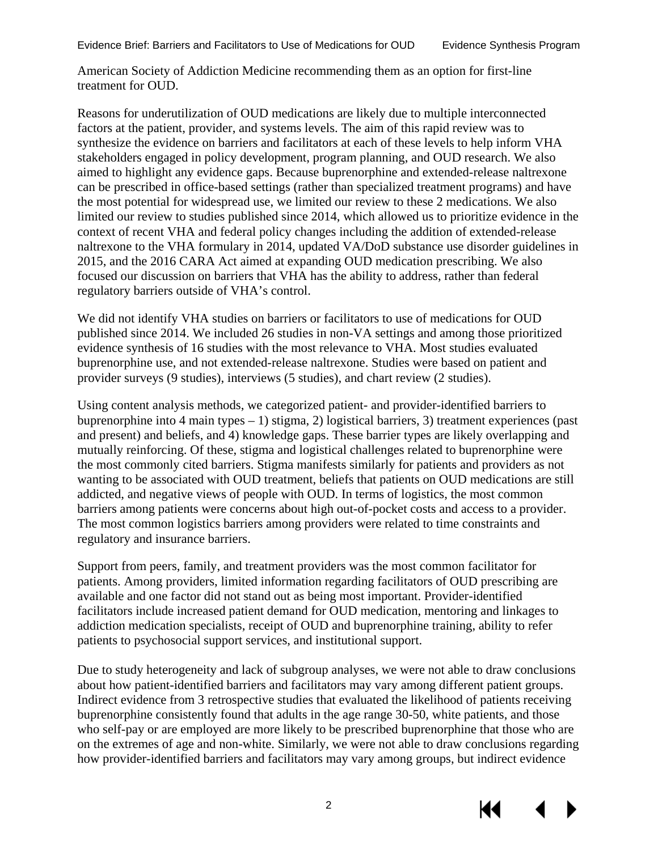American Society of Addiction Medicine recommending them as an option for first-line treatment for OUD.

Reasons for underutilization of OUD medications are likely due to multiple interconnected factors at the patient, provider, and systems levels. The aim of this rapid review was to synthesize the evidence on barriers and facilitators at each of these levels to help inform VHA stakeholders engaged in policy development, program planning, and OUD research. We also aimed to highlight any evidence gaps. Because buprenorphine and extended-release naltrexone can be prescribed in office-based settings (rather than specialized treatment programs) and have the most potential for widespread use, we limited our review to these 2 medications. We also limited our review to studies published since 2014, which allowed us to prioritize evidence in the context of recent VHA and federal policy changes including the addition of extended-release naltrexone to the VHA formulary in 2014, updated VA/DoD substance use disorder guidelines in 2015, and the 2016 CARA Act aimed at expanding OUD medication prescribing. We also focused our discussion on barriers that VHA has the ability to address, rather than federal regulatory barriers outside of VHA's control.

We did not identify VHA studies on barriers or facilitators to use of medications for OUD published since 2014. We included 26 studies in non-VA settings and among those prioritized evidence synthesis of 16 studies with the most relevance to VHA. Most studies evaluated buprenorphine use, and not extended-release naltrexone. Studies were based on patient and provider surveys (9 studies), interviews (5 studies), and chart review (2 studies).

Using content analysis methods, we categorized patient- and provider-identified barriers to buprenorphine into 4 main types – 1) stigma, 2) logistical barriers, 3) treatment experiences (past and present) and beliefs, and 4) knowledge gaps. These barrier types are likely overlapping and mutually reinforcing. Of these, stigma and logistical challenges related to buprenorphine were the most commonly cited barriers. Stigma manifests similarly for patients and providers as not wanting to be associated with OUD treatment, beliefs that patients on OUD medications are still addicted, and negative views of people with OUD. In terms of logistics, the most common barriers among patients were concerns about high out-of-pocket costs and access to a provider. The most common logistics barriers among providers were related to time constraints and regulatory and insurance barriers.

Support from peers, family, and treatment providers was the most common facilitator for patients. Among providers, limited information regarding facilitators of OUD prescribing are available and one factor did not stand out as being most important. Provider-identified facilitators include increased patient demand for OUD medication, mentoring and linkages to addiction medication specialists, receipt of OUD and buprenorphine training, ability to refer patients to psychosocial support services, and institutional support.

Due to study heterogeneity and lack of subgroup analyses, we were not able to draw conclusions about how patient-identified barriers and facilitators may vary among different patient groups. Indirect evidence from 3 retrospective studies that evaluated the likelihood of patients receiving buprenorphine consistently found that adults in the age range 30-50, white patients, and those who self-pay or are employed are more likely to be prescribed buprenorphine that those who are on the extremes of age and non-white. Similarly, we were not able to draw conclusions regarding how provider-identified barriers and facilitators may vary among groups, but indirect evidence

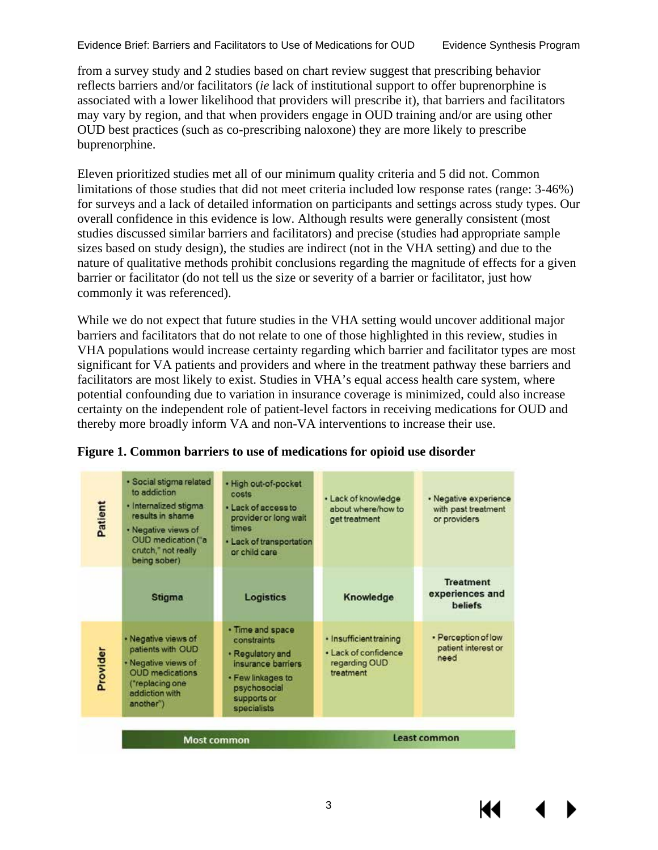from a survey study and 2 studies based on chart review suggest that prescribing behavior reflects barriers and/or facilitators (*ie* lack of institutional support to offer buprenorphine is associated with a lower likelihood that providers will prescribe it), that barriers and facilitators may vary by region, and that when providers engage in OUD training and/or are using other OUD best practices (such as co-prescribing naloxone) they are more likely to prescribe buprenorphine.

Eleven prioritized studies met all of our minimum quality criteria and 5 did not. Common limitations of those studies that did not meet criteria included low response rates (range: 3-46%) for surveys and a lack of detailed information on participants and settings across study types. Our overall confidence in this evidence is low. Although results were generally consistent (most studies discussed similar barriers and facilitators) and precise (studies had appropriate sample sizes based on study design), the studies are indirect (not in the VHA setting) and due to the nature of qualitative methods prohibit conclusions regarding the magnitude of effects for a given barrier or facilitator (do not tell us the size or severity of a barrier or facilitator, just how commonly it was referenced).

While we do not expect that future studies in the VHA setting would uncover additional major barriers and facilitators that do not relate to one of those highlighted in this review, studies in VHA populations would increase certainty regarding which barrier and facilitator types are most significant for VA patients and providers and where in the treatment pathway these barriers and facilitators are most likely to exist. Studies in VHA's equal access health care system, where potential confounding due to variation in insurance coverage is minimized, could also increase certainty on the independent role of patient-level factors in receiving medications for OUD and thereby more broadly inform VA and non-VA interventions to increase their use.

| Patient  | · Social stigma related<br>to addiction<br>· Internalized stigma<br>results in shame<br>· Negative views of<br>OUD medication ("a<br>crutch," not really<br>being sober) | · High out-of-pocket<br>costs<br>· Lack of access to<br>provider or long wait<br>times<br>· Lack of transportation<br>or child care          | • Lack of knowledge<br>about where/how to<br>get treatment                    | · Negative experience<br>with past treatment<br>or providers |
|----------|--------------------------------------------------------------------------------------------------------------------------------------------------------------------------|----------------------------------------------------------------------------------------------------------------------------------------------|-------------------------------------------------------------------------------|--------------------------------------------------------------|
|          | Stigma                                                                                                                                                                   | <b>Logistics</b>                                                                                                                             | Knowledge                                                                     | <b>Treatment</b><br>experiences and<br><b>beliefs</b>        |
| Provider | · Negative views of<br>patients with OUD<br>· Negative views of<br><b>OUD</b> medications<br>("replacing one<br>addiction with<br>another")                              | • Time and space<br>constraints<br>· Regulatory and<br>insurance barriers<br>· Few linkages to<br>psychosocial<br>supports or<br>specialists | · Insufficient training<br>. Lack of confidence<br>regarding OUD<br>treatment | • Perception of low<br>patient interest or<br>need           |
|          | <b>Most common</b>                                                                                                                                                       |                                                                                                                                              |                                                                               | Least common                                                 |

#### <span id="page-6-0"></span>**Figure 1. Common barriers to use of medications for opioid use disorder**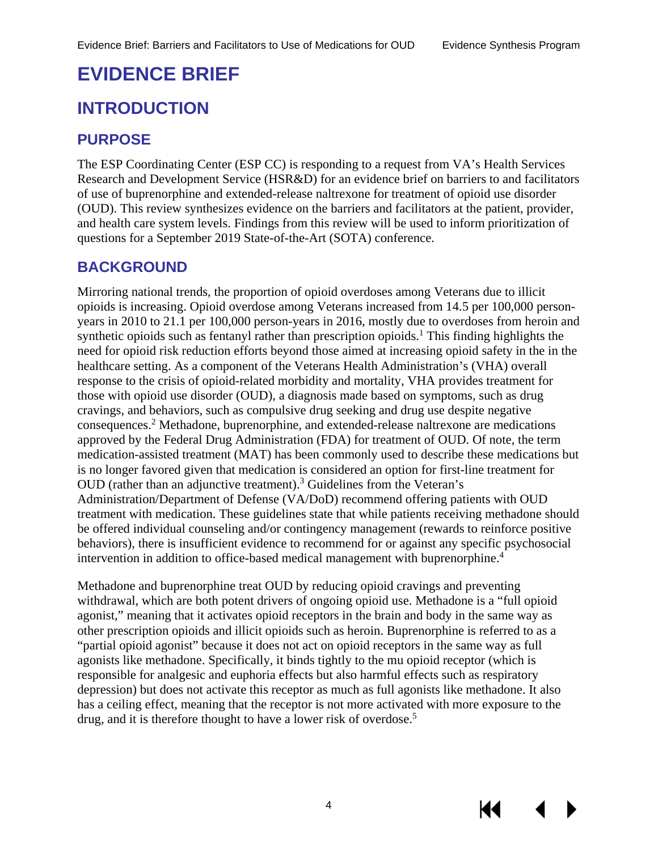# <span id="page-7-0"></span>**EVIDENCE BRIEF**

# <span id="page-7-1"></span>**INTRODUCTION**

# <span id="page-7-2"></span>**PURPOSE**

The ESP Coordinating Center (ESP CC) is responding to a request from VA's Health Services Research and Development Service (HSR&D) for an evidence brief on barriers to and facilitators of use of buprenorphine and extended-release naltrexone for treatment of opioid use disorder (OUD). This review synthesizes evidence on the barriers and facilitators at the patient, provider, and health care system levels. Findings from this review will be used to inform prioritization of questions for a September 2019 State-of-the-Art (SOTA) conference.

### <span id="page-7-3"></span>**BACKGROUND**

Mirroring national trends, the proportion of opioid overdoses among Veterans due to illicit opioids is increasing. Opioid overdose among Veterans increased from 14.5 per 100,000 personyears in 2010 to 21.1 per 100,000 person-years in 2016, mostly due to overdoses from heroin and synthetic opioids such as fentanyl rather than prescription opioids. [1](#page-37-1) This finding highlights the need for opioid risk reduction efforts beyond those aimed at increasing opioid safety in the in the healthcare setting. As a component of the Veterans Health Administration's (VHA) overall response to the crisis of opioid-related morbidity and mortality, VHA provides treatment for those with opioid use disorder (OUD), a diagnosis made based on symptoms, such as drug cravings, and behaviors, such as compulsive drug seeking and drug use despite negative consequences.[2](#page-37-2) Methadone, buprenorphine, and extended-release naltrexone are medications approved by the Federal Drug Administration (FDA) for treatment of OUD. Of note, the term medication-assisted treatment (MAT) has been commonly used to describe these medications but is no longer favored given that medication is considered an option for first-line treatment for OUD (rather than an adjunctive treatment). [3](#page-37-3) Guidelines from the Veteran's Administration/Department of Defense (VA/DoD) recommend offering patients with OUD treatment with medication. These guidelines state that while patients receiving methadone should be offered individual counseling and/or contingency management (rewards to reinforce positive behaviors), there is insufficient evidence to recommend for or against any specific psychosocial intervention in addition to office-based medical management with buprenorphine. [4](#page-37-4)

Methadone and buprenorphine treat OUD by reducing opioid cravings and preventing withdrawal, which are both potent drivers of ongoing opioid use. Methadone is a "full opioid agonist," meaning that it activates opioid receptors in the brain and body in the same way as other prescription opioids and illicit opioids such as heroin. Buprenorphine is referred to as a "partial opioid agonist" because it does not act on opioid receptors in the same way as full agonists like methadone. Specifically, it binds tightly to the mu opioid receptor (which is responsible for analgesic and euphoria effects but also harmful effects such as respiratory depression) but does not activate this receptor as much as full agonists like methadone. It also has a ceiling effect, meaning that the receptor is not more activated with more exposure to the drug, and it is therefore thought to have a lower risk of overdose.<sup>[5](#page-37-5)</sup>



К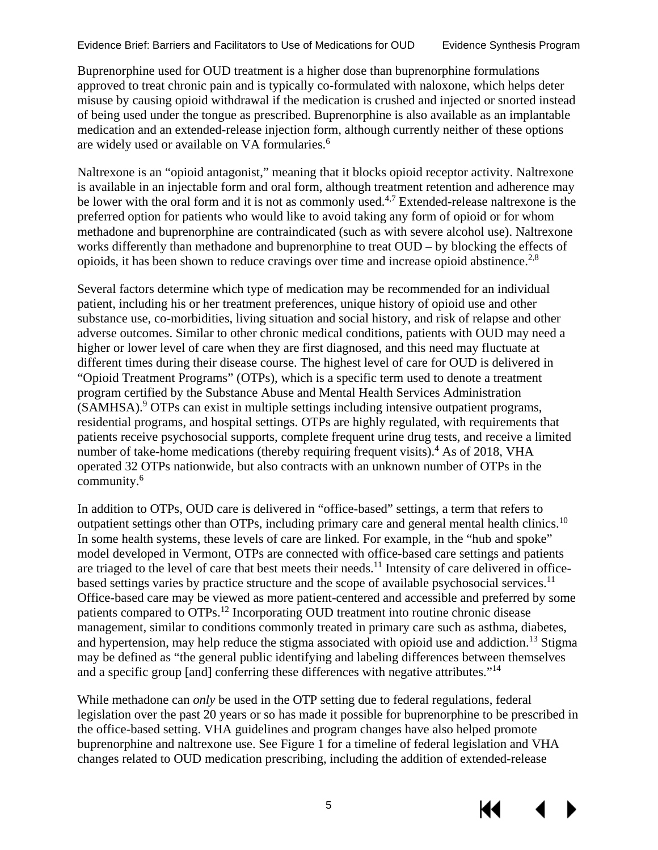Buprenorphine used for OUD treatment is a higher dose than buprenorphine formulations approved to treat chronic pain and is typically co-formulated with naloxone, which helps deter misuse by causing opioid withdrawal if the medication is crushed and injected or snorted instead of being used under the tongue as prescribed. Buprenorphine is also available as an implantable medication and an extended-release injection form, although currently neither of these options are widely used or available on VA formularies.<sup>[6](#page-37-6)</sup>

Naltrexone is an "opioid antagonist," meaning that it blocks opioid receptor activity. Naltrexone is available in an injectable form and oral form, although treatment retention and adherence may be lower with the oral form and it is not as commonly used.<sup>[4,](#page-37-4)[7](#page-37-7)</sup> Extended-release naltrexone is the preferred option for patients who would like to avoid taking any form of opioid or for whom methadone and buprenorphine are contraindicated (such as with severe alcohol use). Naltrexone works differently than methadone and buprenorphine to treat OUD – by blocking the effects of opioids, it has been shown to reduce cravings over time and increase opioid abstinence.<sup>[2,](#page-37-2)[8](#page-37-8)</sup>

Several factors determine which type of medication may be recommended for an individual patient, including his or her treatment preferences, unique history of opioid use and other substance use, co-morbidities, living situation and social history, and risk of relapse and other adverse outcomes. Similar to other chronic medical conditions, patients with OUD may need a higher or lower level of care when they are first diagnosed, and this need may fluctuate at different times during their disease course. The highest level of care for OUD is delivered in "Opioid Treatment Programs" (OTPs), which is a specific term used to denote a treatment program certified by the Substance Abuse and Mental Health Services Administration (SAMHSA). [9](#page-37-9) OTPs can exist in multiple settings including intensive outpatient programs, residential programs, and hospital settings. OTPs are highly regulated, with requirements that patients receive psychosocial supports, complete frequent urine drug tests, and receive a limited number of take-home medications (thereby requiring frequent visits).<sup>4</sup> As of 2018, VHA operated 32 OTPs nationwide, but also contracts with an unknown number of OTPs in the community[.6](#page-37-6)

In addition to OTPs, OUD care is delivered in "office-based" settings, a term that refers to outpatient settings other than OTPs, including primary care and general mental health clinics.<sup>10</sup> In some health systems, these levels of care are linked. For example, in the "hub and spoke" model developed in Vermont, OTPs are connected with office-based care settings and patients are triaged to the level of care that best meets their needs.<sup>[11](#page-37-11)</sup> Intensity of care delivered in office-based settings varies by practice structure and the scope of available psychosocial services.<sup>[11](#page-37-11)</sup> Office-based care may be viewed as more patient-centered and accessible and preferred by some patients compared to OTPs.<sup>[12](#page-37-12)</sup> Incorporating OUD treatment into routine chronic disease management, similar to conditions commonly treated in primary care such as asthma, diabetes, and hypertension, may help reduce the stigma associated with opioid use and addiction.<sup>[13](#page-37-13)</sup> Stigma may be defined as "the general public identifying and labeling differences between themselves and a specific group [and] conferring these differences with negative attributes."[14](#page-37-14)

While methadone can *only* be used in the OTP setting due to federal regulations, federal legislation over the past 20 years or so has made it possible for buprenorphine to be prescribed in the office-based setting. VHA guidelines and program changes have also helped promote buprenorphine and naltrexone use. See Figure 1 for a timeline of federal legislation and VHA changes related to OUD medication prescribing, including the addition of extended-release

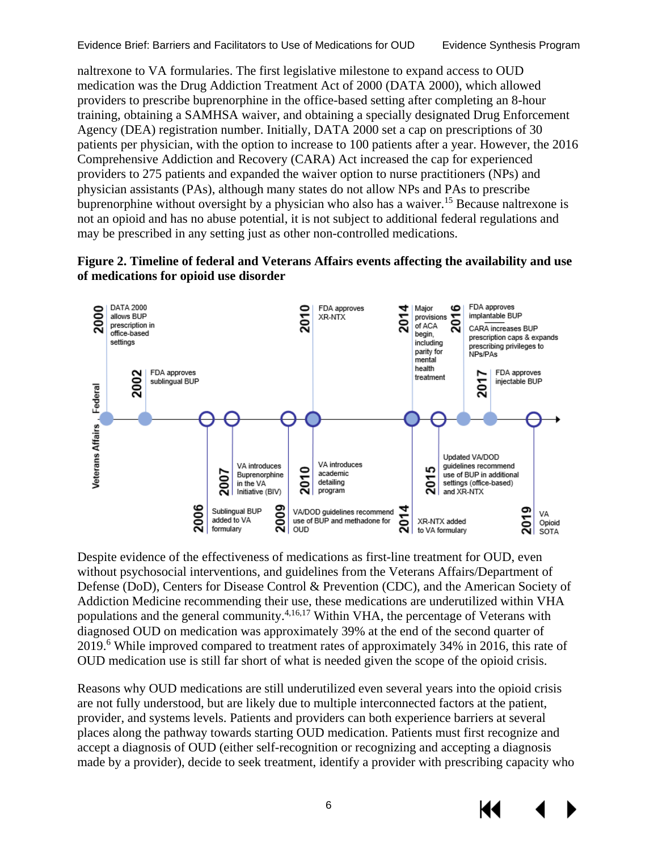naltrexone to VA formularies. The first legislative milestone to expand access to OUD medication was the Drug Addiction Treatment Act of 2000 (DATA 2000), which allowed providers to prescribe buprenorphine in the office-based setting after completing an 8-hour training, obtaining a SAMHSA waiver, and obtaining a specially designated Drug Enforcement Agency (DEA) registration number. Initially, DATA 2000 set a cap on prescriptions of 30 patients per physician, with the option to increase to 100 patients after a year. However, the 2016 Comprehensive Addiction and Recovery (CARA) Act increased the cap for experienced providers to 275 patients and expanded the waiver option to nurse practitioners (NPs) and physician assistants (PAs), although many states do not allow NPs and PAs to prescribe buprenorphine without oversight by a physician who also has a waiver.<sup>15</sup> Because naltrexone is not an opioid and has no abuse potential, it is not subject to additional federal regulations and may be prescribed in any setting just as other non-controlled medications.

<span id="page-9-0"></span>



Despite evidence of the effectiveness of medications as first-line treatment for OUD, even without psychosocial interventions, and guidelines from the Veterans Affairs/Department of Defense (DoD), Centers for Disease Control & Prevention (CDC), and the American Society of Addiction Medicine recommending their use, these medications are underutilized within VHA populations and the general community.<sup>4,[16,](#page-37-16)17</sup> Within VHA, the percentage of Veterans with diagnosed OUD on medication was approximately 39% at the end of the second quarter of 2019.<sup>6</sup> While improved compared to treatment rates of approximately 34% in 2016, this rate of OUD medication use is still far short of what is needed given the scope of the opioid crisis.

Reasons why OUD medications are still underutilized even several years into the opioid crisis are not fully understood, but are likely due to multiple interconnected factors at the patient, provider, and systems levels. Patients and providers can both experience barriers at several places along the pathway towards starting OUD medication. Patients must first recognize and accept a diagnosis of OUD (either self-recognition or recognizing and accepting a diagnosis made by a provider), decide to seek treatment, identify a provider with prescribing capacity who

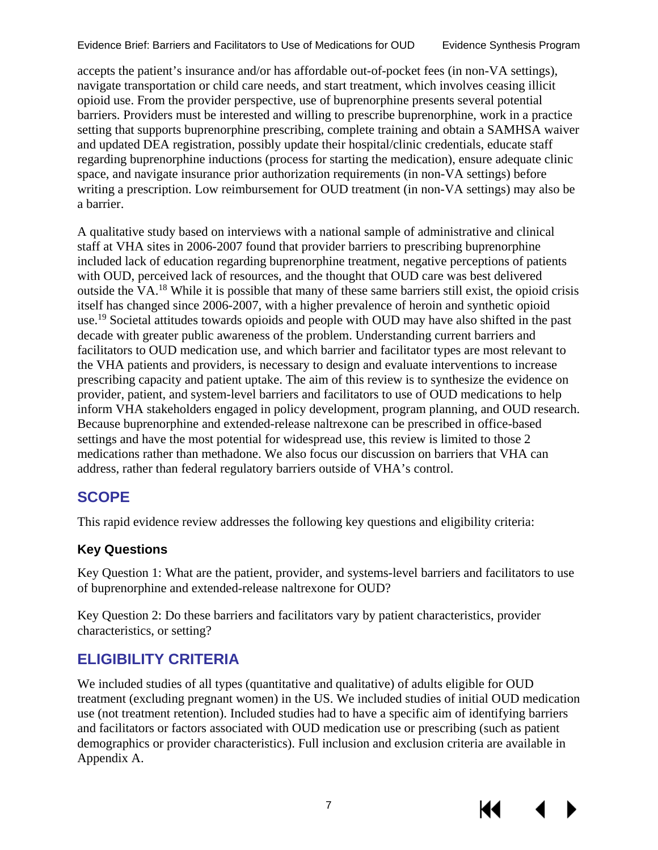accepts the patient's insurance and/or has affordable out-of-pocket fees (in non-VA settings), navigate transportation or child care needs, and start treatment, which involves ceasing illicit opioid use. From the provider perspective, use of buprenorphine presents several potential barriers. Providers must be interested and willing to prescribe buprenorphine, work in a practice setting that supports buprenorphine prescribing, complete training and obtain a SAMHSA waiver and updated DEA registration, possibly update their hospital/clinic credentials, educate staff regarding buprenorphine inductions (process for starting the medication), ensure adequate clinic space, and navigate insurance prior authorization requirements (in non-VA settings) before writing a prescription. Low reimbursement for OUD treatment (in non-VA settings) may also be a barrier.

A qualitative study based on interviews with a national sample of administrative and clinical staff at VHA sites in 2006-2007 found that provider barriers to prescribing buprenorphine included lack of education regarding buprenorphine treatment, negative perceptions of patients with OUD, perceived lack of resources, and the thought that OUD care was best delivered outside the VA.[18](#page-38-0) While it is possible that many of these same barriers still exist, the opioid crisis itself has changed since 2006-2007, with a higher prevalence of heroin and synthetic opioid use.<sup>19</sup> Societal attitudes towards opioids and people with OUD may have also shifted in the past decade with greater public awareness of the problem. Understanding current barriers and facilitators to OUD medication use, and which barrier and facilitator types are most relevant to the VHA patients and providers, is necessary to design and evaluate interventions to increase prescribing capacity and patient uptake. The aim of this review is to synthesize the evidence on provider, patient, and system-level barriers and facilitators to use of OUD medications to help inform VHA stakeholders engaged in policy development, program planning, and OUD research. Because buprenorphine and extended-release naltrexone can be prescribed in office-based settings and have the most potential for widespread use, this review is limited to those 2 medications rather than methadone. We also focus our discussion on barriers that VHA can address, rather than federal regulatory barriers outside of VHA's control.

# <span id="page-10-0"></span>**SCOPE**

This rapid evidence review addresses the following key questions and eligibility criteria:

#### <span id="page-10-1"></span>**Key Questions**

Key Question 1: What are the patient, provider, and systems-level barriers and facilitators to use of buprenorphine and extended-release naltrexone for OUD?

Key Question 2: Do these barriers and facilitators vary by patient characteristics, provider characteristics, or setting?

# <span id="page-10-2"></span>**ELIGIBILITY CRITERIA**

We included studies of all types (quantitative and qualitative) of adults eligible for OUD treatment (excluding pregnant women) in the US. We included studies of initial OUD medication use (not treatment retention). Included studies had to have a specific aim of identifying barriers and facilitators or factors associated with OUD medication use or prescribing (such as patient demographics or provider characteristics). Full inclusion and exclusion criteria are available in Appendix A.

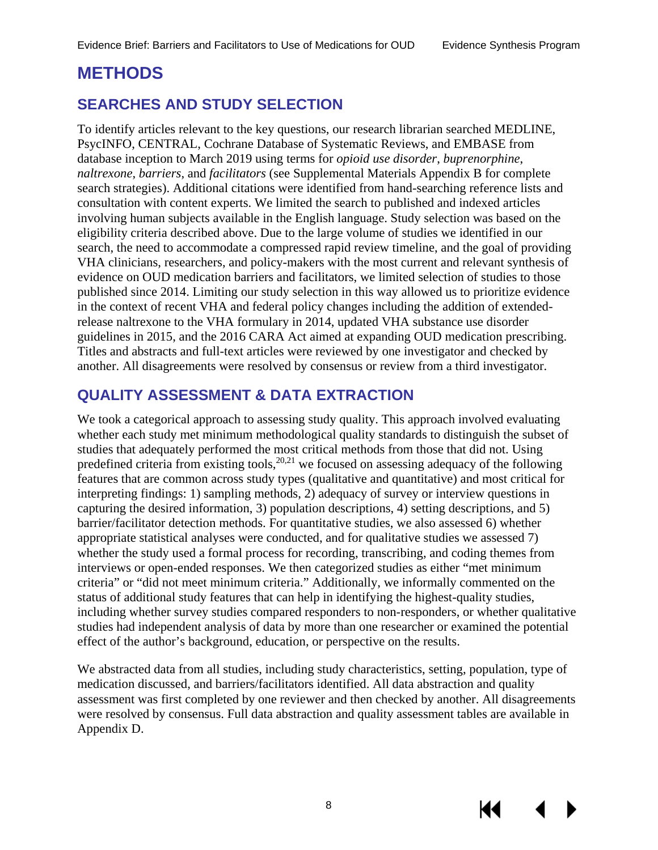# <span id="page-11-0"></span>**METHODS**

### <span id="page-11-1"></span>**SEARCHES AND STUDY SELECTION**

To identify articles relevant to the key questions, our research librarian searched MEDLINE, PsycINFO, CENTRAL, Cochrane Database of Systematic Reviews, and EMBASE from database inception to March 2019 using terms for *opioid use disorder*, *buprenorphine*, *naltrexone*, *barriers*, and *facilitators* (see Supplemental Materials Appendix B for complete search strategies). Additional citations were identified from hand-searching reference lists and consultation with content experts. We limited the search to published and indexed articles involving human subjects available in the English language. Study selection was based on the eligibility criteria described above. Due to the large volume of studies we identified in our search, the need to accommodate a compressed rapid review timeline, and the goal of providing VHA clinicians, researchers, and policy-makers with the most current and relevant synthesis of evidence on OUD medication barriers and facilitators, we limited selection of studies to those published since 2014. Limiting our study selection in this way allowed us to prioritize evidence in the context of recent VHA and federal policy changes including the addition of extendedrelease naltrexone to the VHA formulary in 2014, updated VHA substance use disorder guidelines in 2015, and the 2016 CARA Act aimed at expanding OUD medication prescribing. Titles and abstracts and full-text articles were reviewed by one investigator and checked by another. All disagreements were resolved by consensus or review from a third investigator.

### <span id="page-11-2"></span>**QUALITY ASSESSMENT & DATA EXTRACTION**

We took a categorical approach to assessing study quality. This approach involved evaluating whether each study met minimum methodological quality standards to distinguish the subset of studies that adequately performed the most critical methods from those that did not. Using predefined criteria from existing tools,  $20,21$  $20,21$  we focused on assessing adequacy of the following features that are common across study types (qualitative and quantitative) and most critical for interpreting findings: 1) sampling methods, 2) adequacy of survey or interview questions in capturing the desired information, 3) population descriptions, 4) setting descriptions, and 5) barrier/facilitator detection methods. For quantitative studies, we also assessed 6) whether appropriate statistical analyses were conducted, and for qualitative studies we assessed 7) whether the study used a formal process for recording, transcribing, and coding themes from interviews or open-ended responses. We then categorized studies as either "met minimum criteria" or "did not meet minimum criteria." Additionally, we informally commented on the status of additional study features that can help in identifying the highest-quality studies, including whether survey studies compared responders to non-responders, or whether qualitative studies had independent analysis of data by more than one researcher or examined the potential effect of the author's background, education, or perspective on the results.

We abstracted data from all studies, including study characteristics, setting, population, type of medication discussed, and barriers/facilitators identified. All data abstraction and quality assessment was first completed by one reviewer and then checked by another. All disagreements were resolved by consensus. Full data abstraction and quality assessment tables are available in Appendix D.

КI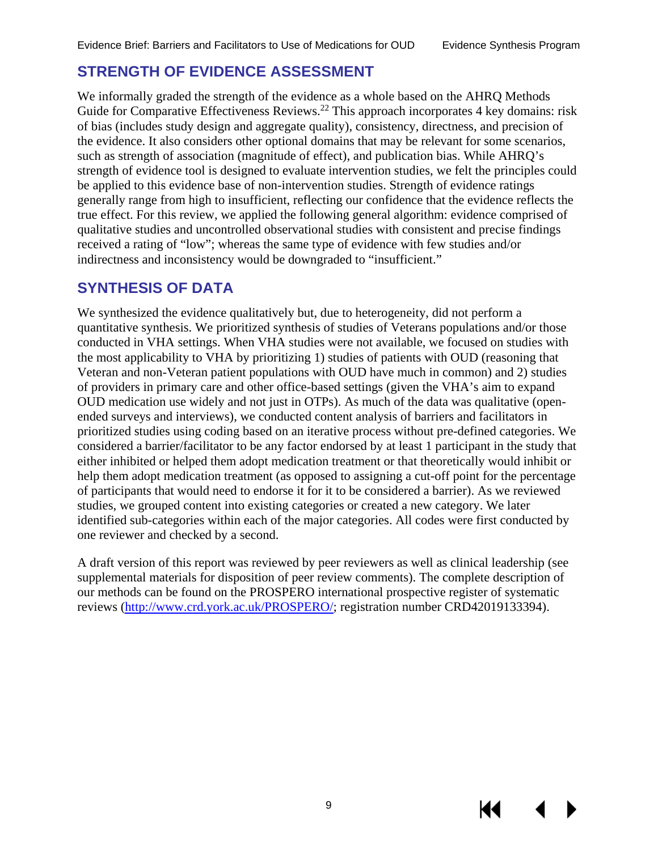### <span id="page-12-0"></span>**STRENGTH OF EVIDENCE ASSESSMENT**

We informally graded the strength of the evidence as a whole based on the AHRQ Methods Guide for Comparative Effectiveness Reviews.<sup>[22](#page-38-4)</sup> This approach incorporates 4 key domains: risk of bias (includes study design and aggregate quality), consistency, directness, and precision of the evidence. It also considers other optional domains that may be relevant for some scenarios, such as strength of association (magnitude of effect), and publication bias. While AHRQ's strength of evidence tool is designed to evaluate intervention studies, we felt the principles could be applied to this evidence base of non-intervention studies. Strength of evidence ratings generally range from high to insufficient, reflecting our confidence that the evidence reflects the true effect. For this review, we applied the following general algorithm: evidence comprised of qualitative studies and uncontrolled observational studies with consistent and precise findings received a rating of "low"; whereas the same type of evidence with few studies and/or indirectness and inconsistency would be downgraded to "insufficient."

### <span id="page-12-1"></span>**SYNTHESIS OF DATA**

We synthesized the evidence qualitatively but, due to heterogeneity, did not perform a quantitative synthesis. We prioritized synthesis of studies of Veterans populations and/or those conducted in VHA settings. When VHA studies were not available, we focused on studies with the most applicability to VHA by prioritizing 1) studies of patients with OUD (reasoning that Veteran and non-Veteran patient populations with OUD have much in common) and 2) studies of providers in primary care and other office-based settings (given the VHA's aim to expand OUD medication use widely and not just in OTPs). As much of the data was qualitative (openended surveys and interviews), we conducted content analysis of barriers and facilitators in prioritized studies using coding based on an iterative process without pre-defined categories. We considered a barrier/facilitator to be any factor endorsed by at least 1 participant in the study that either inhibited or helped them adopt medication treatment or that theoretically would inhibit or help them adopt medication treatment (as opposed to assigning a cut-off point for the percentage of participants that would need to endorse it for it to be considered a barrier). As we reviewed studies, we grouped content into existing categories or created a new category. We later identified sub-categories within each of the major categories. All codes were first conducted by one reviewer and checked by a second.

A draft version of this report was reviewed by peer reviewers as well as clinical leadership (see supplemental materials for disposition of peer review comments). The complete description of our methods can be found on the PROSPERO international prospective register of systematic reviews [\(http://www.crd.york.ac.uk/PROSPERO/;](http://www.crd.york.ac.uk/PROSPERO/) registration number CRD42019133394).

KK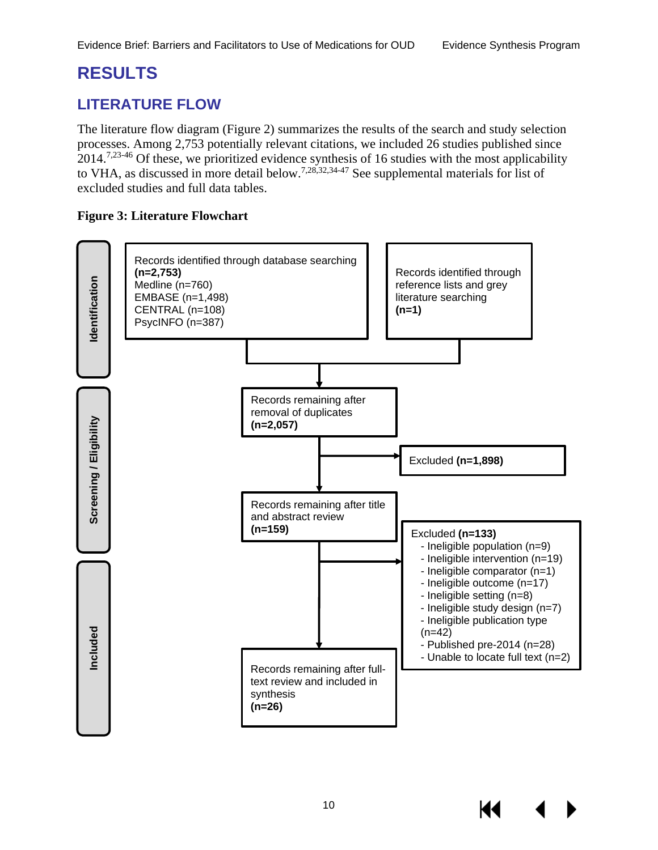# <span id="page-13-0"></span>**RESULTS**

# <span id="page-13-1"></span>**LITERATURE FLOW**

The literature flow diagram (Figure 2) summarizes the results of the search and study selection processes. Among 2,753 potentially relevant citations, we included 26 studies published since 2014.<sup>7[,23-46](#page-38-5)</sup> Of these, we prioritized evidence synthesis of 16 studies with the most applicability to VHA, as discussed in more detail below.<sup>[7,](#page-37-7)[28,](#page-38-6)[32,](#page-38-7)[34-47](#page-38-8)</sup> See supplemental materials for list of excluded studies and full data tables.

#### <span id="page-13-2"></span>**Figure 3: Literature Flowchart**

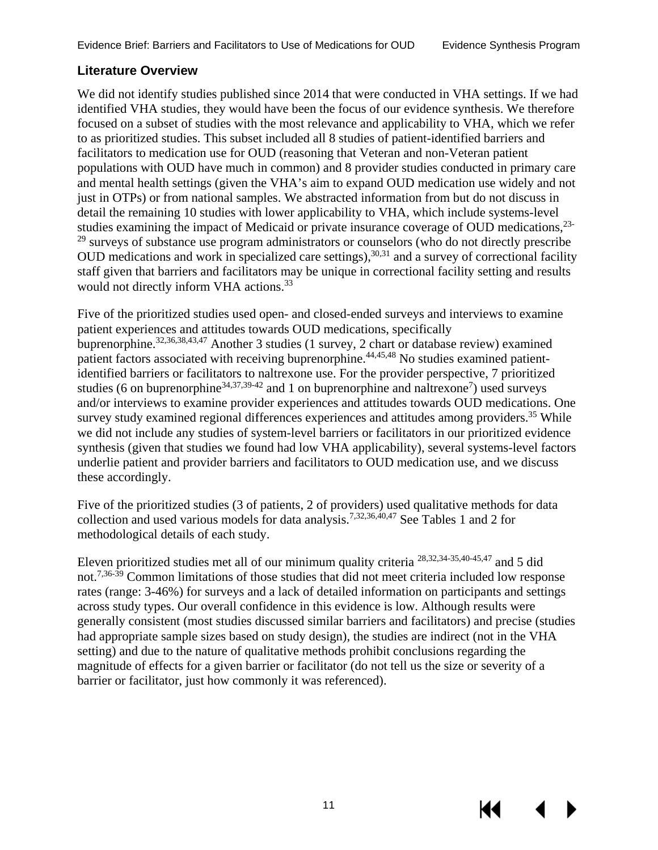#### <span id="page-14-0"></span>**Literature Overview**

We did not identify studies published since 2014 that were conducted in VHA settings. If we had identified VHA studies, they would have been the focus of our evidence synthesis. We therefore focused on a subset of studies with the most relevance and applicability to VHA, which we refer to as prioritized studies. This subset included all 8 studies of patient-identified barriers and facilitators to medication use for OUD (reasoning that Veteran and non-Veteran patient populations with OUD have much in common) and 8 provider studies conducted in primary care and mental health settings (given the VHA's aim to expand OUD medication use widely and not just in OTPs) or from national samples. We abstracted information from but do not discuss in detail the remaining 10 studies with lower applicability to VHA, which include systems-level studies examining the impact of Medicaid or private insurance coverage of OUD medications,<sup>[23-](#page-38-5)</sup>  $29$  surveys of substance use program administrators or counselors (who do not directly prescribe OUD medications and work in specialized care settings),<sup>[30](#page-38-9)[,31](#page-38-10)</sup> and a survey of correctional facility staff given that barriers and facilitators may be unique in correctional facility setting and results would not directly inform VHA actions.<sup>33</sup>

Five of the prioritized studies used open- and closed-ended surveys and interviews to examine patient experiences and attitudes towards OUD medications, specifically buprenorphine.[32](#page-38-7)[,36](#page-39-0)[,38,](#page-39-1)43,47 Another 3 studies (1 survey, 2 chart or database review) examined patient factors associated with receiving buprenorphine.<sup>44,[45,](#page-39-3)[48](#page-39-4)</sup> No studies examined patientidentified barriers or facilitators to naltrexone use. For the provider perspective, 7 prioritized studies (6 on buprenorphine<sup>[34,](#page-38-8)[37,](#page-39-5)[39-42](#page-39-6)</sup> and 1 on buprenorphine and naltrexone<sup>[7](#page-37-7)</sup>) used surveys and/or interviews to examine provider experiences and attitudes towards OUD medications. One survey study examined regional differences experiences and attitudes among providers.<sup>[35](#page-39-7)</sup> While we did not include any studies of system-level barriers or facilitators in our prioritized evidence synthesis (given that studies we found had low VHA applicability), several systems-level factors underlie patient and provider barriers and facilitators to OUD medication use, and we discuss these accordingly.

Five of the prioritized studies (3 of patients, 2 of providers) used qualitative methods for data collection and used various models for data analysis[.7,](#page-37-7)[32,](#page-38-7)[36,4](#page-39-0)[0,47](#page-39-8) See Tables 1 and 2 for methodological details of each study.

Eleven prioritized studies met all of our minimum quality criteria [28,](#page-38-6)[32,](#page-38-7)[34-35,40-45,47](#page-38-8) and 5 did not.<sup>[7,](#page-37-7)[36-39](#page-38-7)</sup> Common limitations of those studies that did not meet criteria included low response rates (range: 3-46%) for surveys and a lack of detailed information on participants and settings across study types. Our overall confidence in this evidence is low. Although results were generally consistent (most studies discussed similar barriers and facilitators) and precise (studies had appropriate sample sizes based on study design), the studies are indirect (not in the VHA setting) and due to the nature of qualitative methods prohibit conclusions regarding the magnitude of effects for a given barrier or facilitator (do not tell us the size or severity of a barrier or facilitator, just how commonly it was referenced).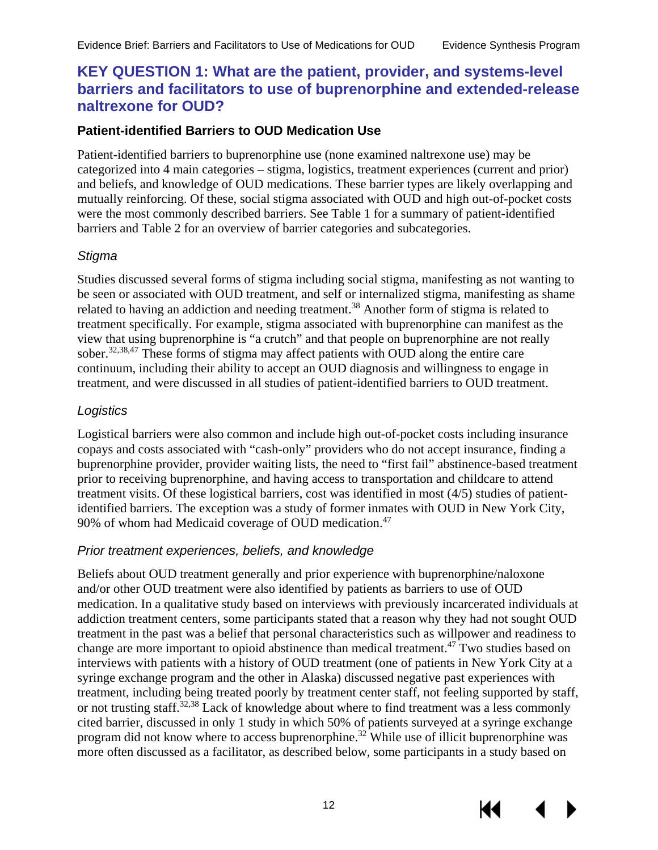### <span id="page-15-0"></span>**KEY QUESTION 1: What are the patient, provider, and systems-level barriers and facilitators to use of buprenorphine and extended-release naltrexone for OUD?**

#### <span id="page-15-1"></span>**Patient-identified Barriers to OUD Medication Use**

Patient-identified barriers to buprenorphine use (none examined naltrexone use) may be categorized into 4 main categories – stigma, logistics, treatment experiences (current and prior) and beliefs, and knowledge of OUD medications. These barrier types are likely overlapping and mutually reinforcing. Of these, social stigma associated with OUD and high out-of-pocket costs were the most commonly described barriers. See Table 1 for a summary of patient-identified barriers and Table 2 for an overview of barrier categories and subcategories.

#### *Stigma*

Studies discussed several forms of stigma including social stigma, manifesting as not wanting to be seen or associated with OUD treatment, and self or internalized stigma, manifesting as shame related to having an addiction and needing treatment.<sup>[38](#page-39-1)</sup> Another form of stigma is related to treatment specifically. For example, stigma associated with buprenorphine can manifest as the view that using buprenorphine is "a crutch" and that people on buprenorphine are not really sober.<sup>32[,38](#page-39-1)[,47](#page-39-8)</sup> These forms of stigma may affect patients with OUD along the entire care continuum, including their ability to accept an OUD diagnosis and willingness to engage in treatment, and were discussed in all studies of patient-identified barriers to OUD treatment.

#### *Logistics*

Logistical barriers were also common and include high out-of-pocket costs including insurance copays and costs associated with "cash-only" providers who do not accept insurance, finding a buprenorphine provider, provider waiting lists, the need to "first fail" abstinence-based treatment prior to receiving buprenorphine, and having access to transportation and childcare to attend treatment visits. Of these logistical barriers, cost was identified in most (4/5) studies of patientidentified barriers. The exception was a study of former inmates with OUD in New York City, 90% of whom had Medicaid coverage of OUD medication.<sup>47</sup>

#### *Prior treatment experiences, beliefs, and knowledge*

Beliefs about OUD treatment generally and prior experience with buprenorphine/naloxone and/or other OUD treatment were also identified by patients as barriers to use of OUD medication. In a qualitative study based on interviews with previously incarcerated individuals at addiction treatment centers, some participants stated that a reason why they had not sought OUD treatment in the past was a belief that personal characteristics such as willpower and readiness to change are more important to opioid abstinence than medical treatment[.47](#page-39-8) Two studies based on interviews with patients with a history of OUD treatment (one of patients in New York City at a syringe exchange program and the other in Alaska) discussed negative past experiences with treatment, including being treated poorly by treatment center staff, not feeling supported by staff, or not trusting staff.<sup>[32,](#page-38-7)[38](#page-39-1)</sup> Lack of knowledge about where to find treatment was a less commonly cited barrier, discussed in only 1 study in which 50% of patients surveyed at a syringe exchange program did not know where to access buprenorphine.<sup>32</sup> While use of illicit buprenorphine was more often discussed as a facilitator, as described below, some participants in a study based on

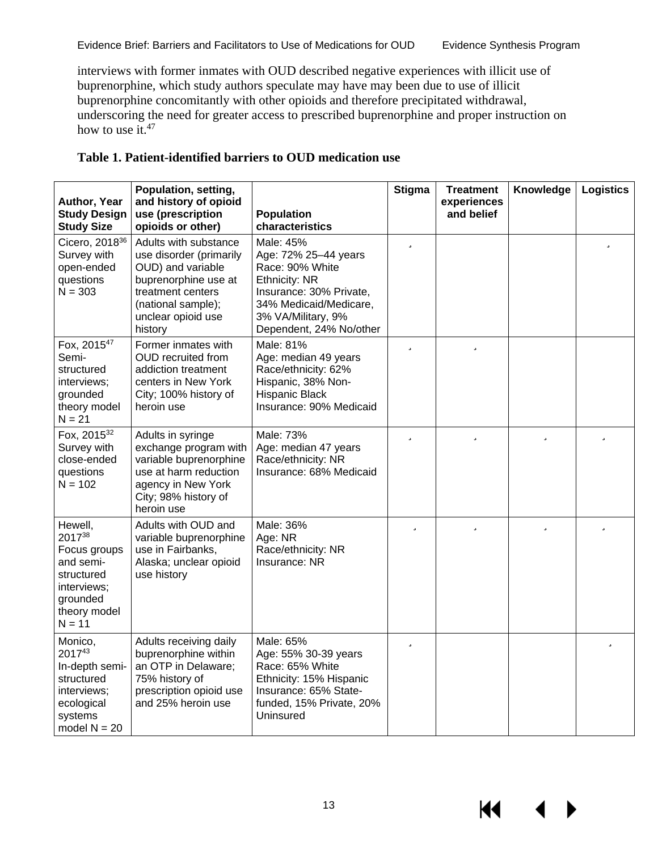interviews with former inmates with OUD described negative experiences with illicit use of buprenorphine, which study authors speculate may have may been due to use of illicit buprenorphine concomitantly with other opioids and therefore precipitated withdrawal, underscoring the need for greater access to prescribed buprenorphine and proper instruction on how to use it. $47$ 

| Author, Year<br><b>Study Design</b><br><b>Study Size</b>                                                            | Population, setting,<br>and history of opioid<br>use (prescription<br>opioids or other)                                                                                   | <b>Population</b><br>characteristics                                                                                                                                        | <b>Stigma</b> | <b>Treatment</b><br>experiences<br>and belief | Knowledge | <b>Logistics</b> |
|---------------------------------------------------------------------------------------------------------------------|---------------------------------------------------------------------------------------------------------------------------------------------------------------------------|-----------------------------------------------------------------------------------------------------------------------------------------------------------------------------|---------------|-----------------------------------------------|-----------|------------------|
| Cicero, 2018 <sup>36</sup><br>Survey with<br>open-ended<br>questions<br>$N = 303$                                   | Adults with substance<br>use disorder (primarily<br>OUD) and variable<br>buprenorphine use at<br>treatment centers<br>(national sample);<br>unclear opioid use<br>history | Male: 45%<br>Age: 72% 25-44 years<br>Race: 90% White<br>Ethnicity: NR<br>Insurance: 30% Private,<br>34% Medicaid/Medicare,<br>3% VA/Military, 9%<br>Dependent, 24% No/other | ü             |                                               |           | ü                |
| Fox, 2015 <sup>47</sup><br>Semi-<br>structured<br>interviews;<br>grounded<br>theory model<br>$N = 21$               | Former inmates with<br><b>OUD</b> recruited from<br>addiction treatment<br>centers in New York<br>City; 100% history of<br>heroin use                                     | Male: 81%<br>Age: median 49 years<br>Race/ethnicity: 62%<br>Hispanic, 38% Non-<br><b>Hispanic Black</b><br>Insurance: 90% Medicaid                                          | ü             | ü                                             |           |                  |
| Fox, 201532<br>Survey with<br>close-ended<br>questions<br>$N = 102$                                                 | Adults in syringe<br>exchange program with<br>variable buprenorphine<br>use at harm reduction<br>agency in New York<br>City; 98% history of<br>heroin use                 | Male: 73%<br>Age: median 47 years<br>Race/ethnicity: NR<br>Insurance: 68% Medicaid                                                                                          | ü             | ü                                             | ü         | ü                |
| Hewell,<br>201738<br>Focus groups<br>and semi-<br>structured<br>interviews;<br>grounded<br>theory model<br>$N = 11$ | Adults with OUD and<br>variable buprenorphine<br>use in Fairbanks,<br>Alaska; unclear opioid<br>use history                                                               | Male: 36%<br>Age: NR<br>Race/ethnicity: NR<br>Insurance: NR                                                                                                                 | ü             | ü                                             | ü         | ü                |
| Monico,<br>201743<br>In-depth semi-<br>structured<br>interviews;<br>ecological<br>systems<br>model $N = 20$         | Adults receiving daily<br>buprenorphine within<br>an OTP in Delaware;<br>75% history of<br>prescription opioid use<br>and 25% heroin use                                  | Male: 65%<br>Age: 55% 30-39 years<br>Race: 65% White<br>Ethnicity: 15% Hispanic<br>Insurance: 65% State-<br>funded, 15% Private, 20%<br>Uninsured                           | ü             |                                               |           | ü                |

#### <span id="page-16-0"></span>**Table 1. Patient-identified barriers to OUD medication use**

KI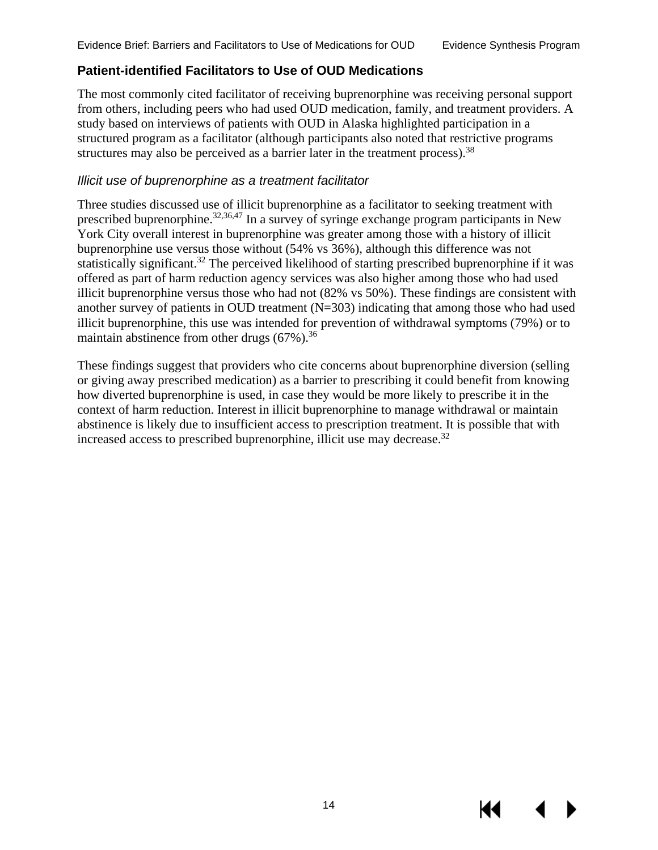#### <span id="page-17-0"></span>**Patient-identified Facilitators to Use of OUD Medications**

The most commonly cited facilitator of receiving buprenorphine was receiving personal support from others, including peers who had used OUD medication, family, and treatment providers. A study based on interviews of patients with OUD in Alaska highlighted participation in a structured program as a facilitator (although participants also noted that restrictive programs structures may also be perceived as a barrier later in the treatment process).<sup>[38](#page-39-1)</sup>

#### *Illicit use of buprenorphine as a treatment facilitator*

Three studies discussed use of illicit buprenorphine as a facilitator to seeking treatment with prescribed buprenorphine.<sup>32[,36](#page-39-0)[,47](#page-39-8)</sup> In a survey of syringe exchange program participants in New York City overall interest in buprenorphine was greater among those with a history of illicit buprenorphine use versus those without (54% vs 36%), although this difference was not statistically significant.[32](#page-38-7) The perceived likelihood of starting prescribed buprenorphine if it was offered as part of harm reduction agency services was also higher among those who had used illicit buprenorphine versus those who had not (82% vs 50%). These findings are consistent with another survey of patients in OUD treatment (N=303) indicating that among those who had used illicit buprenorphine, this use was intended for prevention of withdrawal symptoms (79%) or to maintain abstinence from other drugs  $(67\%)$ .<sup>36</sup>

These findings suggest that providers who cite concerns about buprenorphine diversion (selling or giving away prescribed medication) as a barrier to prescribing it could benefit from knowing how diverted buprenorphine is used, in case they would be more likely to prescribe it in the context of harm reduction. Interest in illicit buprenorphine to manage withdrawal or maintain abstinence is likely due to insufficient access to prescription treatment. It is possible that with increased access to prescribed buprenorphine, illicit use may decrease.<sup>[32](#page-38-7)</sup>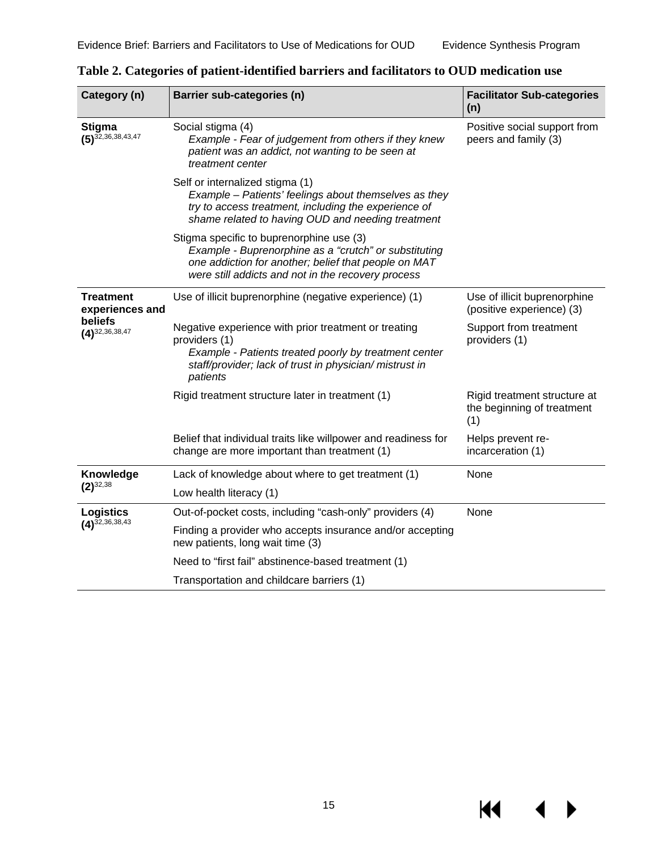$\blacktriangleleft$ 

 $\blacktriangleright$ 

**KK** 

| Category (n)                                  | Barrier sub-categories (n)                                                                                                                                                                                      | <b>Facilitator Sub-categories</b><br>(n)                          |  |
|-----------------------------------------------|-----------------------------------------------------------------------------------------------------------------------------------------------------------------------------------------------------------------|-------------------------------------------------------------------|--|
| <b>Stigma</b><br>$(5)^{\bar{32},36,38,43,47}$ | Social stigma (4)<br>Example - Fear of judgement from others if they knew<br>patient was an addict, not wanting to be seen at<br>treatment center                                                               | Positive social support from<br>peers and family (3)              |  |
|                                               | Self or internalized stigma (1)<br>Example - Patients' feelings about themselves as they<br>try to access treatment, including the experience of<br>shame related to having OUD and needing treatment           |                                                                   |  |
|                                               | Stigma specific to buprenorphine use (3)<br>Example - Buprenorphine as a "crutch" or substituting<br>one addiction for another; belief that people on MAT<br>were still addicts and not in the recovery process |                                                                   |  |
| <b>Treatment</b><br>experiences and           | Use of illicit buprenorphine (negative experience) (1)                                                                                                                                                          | Use of illicit buprenorphine<br>(positive experience) (3)         |  |
| beliefs<br>$(4)^{32,36,38,47}$                | Negative experience with prior treatment or treating<br>providers (1)<br>Example - Patients treated poorly by treatment center<br>staff/provider; lack of trust in physician/ mistrust in<br>patients           | Support from treatment<br>providers (1)                           |  |
|                                               | Rigid treatment structure later in treatment (1)                                                                                                                                                                | Rigid treatment structure at<br>the beginning of treatment<br>(1) |  |
|                                               | Belief that individual traits like willpower and readiness for<br>change are more important than treatment (1)                                                                                                  | Helps prevent re-<br>incarceration (1)                            |  |
| Knowledge<br>$(2)^{32,38}$                    | Lack of knowledge about where to get treatment (1)                                                                                                                                                              | None                                                              |  |
|                                               | Low health literacy (1)                                                                                                                                                                                         |                                                                   |  |
| <b>Logistics</b>                              | Out-of-pocket costs, including "cash-only" providers (4)                                                                                                                                                        | None                                                              |  |
| $(4)^{\bar{3}2,36,38,43}$                     | Finding a provider who accepts insurance and/or accepting<br>new patients, long wait time (3)                                                                                                                   |                                                                   |  |
|                                               | Need to "first fail" abstinence-based treatment (1)                                                                                                                                                             |                                                                   |  |
|                                               | Transportation and childcare barriers (1)                                                                                                                                                                       |                                                                   |  |

<span id="page-18-0"></span>**Table 2. Categories of patient-identified barriers and facilitators to OUD medication use**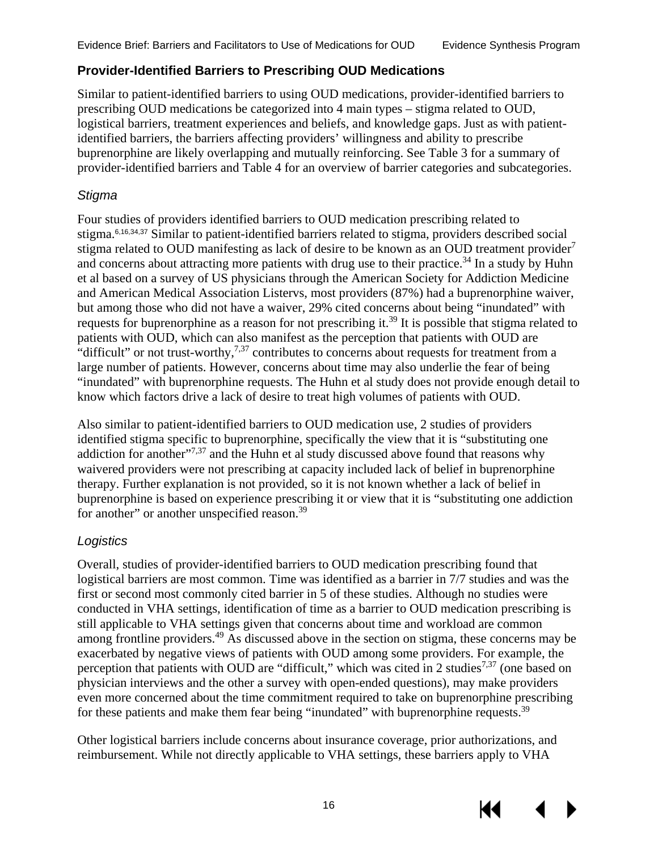#### <span id="page-19-0"></span>**Provider-Identified Barriers to Prescribing OUD Medications**

Similar to patient-identified barriers to using OUD medications, provider-identified barriers to prescribing OUD medications be categorized into 4 main types – stigma related to OUD, logistical barriers, treatment experiences and beliefs, and knowledge gaps. Just as with patientidentified barriers, the barriers affecting providers' willingness and ability to prescribe buprenorphine are likely overlapping and mutually reinforcing. See Table 3 for a summary of provider-identified barriers and Table 4 for an overview of barrier categories and subcategories.

#### *Stigma*

Four studies of providers identified barriers to OUD medication prescribing related to stigma.[6,16,](#page-37-16)[34,](#page-38-8)[37](#page-39-5) Similar to patient-identified barriers related to stigma, providers described social stigma related to OUD manifesting as lack of desire to be known as an OUD treatment provider<sup>[7](#page-37-7)</sup> and concerns about attracting more patients with drug use to their practice.<sup>[34](#page-38-8)</sup> In a study by Huhn et al based on a survey of US physicians through the American Society for Addiction Medicine and American Medical Association Listervs, most providers (87%) had a buprenorphine waiver, but among those who did not have a waiver, 29% cited concerns about being "inundated" with requests for buprenorphine as a reason for not prescribing it.<sup>[39](#page-39-6)</sup> It is possible that stigma related to patients with OUD, which can also manifest as the perception that patients with OUD are "difficult" or not trust-worthy,<sup>7[,37](#page-39-5)</sup> contributes to concerns about requests for treatment from a large number of patients. However, concerns about time may also underlie the fear of being "inundated" with buprenorphine requests. The Huhn et al study does not provide enough detail to know which factors drive a lack of desire to treat high volumes of patients with OUD.

Also similar to patient-identified barriers to OUD medication use, 2 studies of providers identified stigma specific to buprenorphine, specifically the view that it is "substituting one addiction for another"<sup>[7](#page-37-7)[,37](#page-39-5)</sup> and the Huhn et al study discussed above found that reasons why waivered providers were not prescribing at capacity included lack of belief in buprenorphine therapy. Further explanation is not provided, so it is not known whether a lack of belief in buprenorphine is based on experience prescribing it or view that it is "substituting one addiction for another" or another unspecified reason.<sup>39</sup>

#### *Logistics*

Overall, studies of provider-identified barriers to OUD medication prescribing found that logistical barriers are most common. Time was identified as a barrier in 7/7 studies and was the first or second most commonly cited barrier in 5 of these studies. Although no studies were conducted in VHA settings, identification of time as a barrier to OUD medication prescribing is still applicable to VHA settings given that concerns about time and workload are common among frontline providers.<sup>[49](#page-39-10)</sup> As discussed above in the section on stigma, these concerns may be exacerbated by negative views of patients with OUD among some providers. For example, the perception that patients with OUD are "difficult," which was cited in 2 studies<sup>[7](#page-37-7)[,37](#page-39-5)</sup> (one based on physician interviews and the other a survey with open-ended questions), may make providers even more concerned about the time commitment required to take on buprenorphine prescribing for these patients and make them fear being "inundated" with buprenorphine requests.<sup>[39](#page-39-6)</sup>

Other logistical barriers include concerns about insurance coverage, prior authorizations, and reimbursement. While not directly applicable to VHA settings, these barriers apply to VHA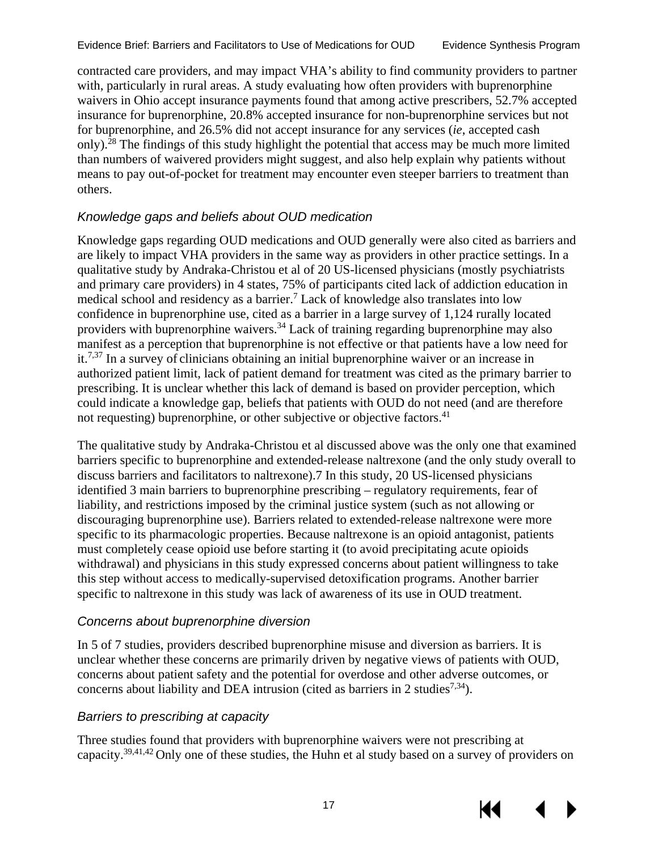contracted care providers, and may impact VHA's ability to find community providers to partner with, particularly in rural areas. A study evaluating how often providers with buprenorphine waivers in Ohio accept insurance payments found that among active prescribers, 52.7% accepted insurance for buprenorphine, 20.8% accepted insurance for non-buprenorphine services but not for buprenorphine, and 26.5% did not accept insurance for any services (*ie*, accepted cash only)[.28](#page-38-6) The findings of this study highlight the potential that access may be much more limited than numbers of waivered providers might suggest, and also help explain why patients without means to pay out-of-pocket for treatment may encounter even steeper barriers to treatment than others.

#### *Knowledge gaps and beliefs about OUD medication*

Knowledge gaps regarding OUD medications and OUD generally were also cited as barriers and are likely to impact VHA providers in the same way as providers in other practice settings. In a qualitative study by Andraka-Christou et al of 20 US-licensed physicians (mostly psychiatrists and primary care providers) in 4 states, 75% of participants cited lack of addiction education in medical school and residency as a barrier.[7](#page-37-7) Lack of knowledge also translates into low confidence in buprenorphine use, cited as a barrier in a large survey of 1,124 rurally located providers with buprenorphine waivers.<sup>34</sup> Lack of training regarding buprenorphine may also manifest as a perception that buprenorphine is not effective or that patients have a low need for it.<sup>7,[37](#page-39-5)</sup> In a survey of clinicians obtaining an initial buprenorphine waiver or an increase in authorized patient limit, lack of patient demand for treatment was cited as the primary barrier to prescribing. It is unclear whether this lack of demand is based on provider perception, which could indicate a knowledge gap, beliefs that patients with OUD do not need (and are therefore not requesting) buprenorphine, or other subjective or objective factors.<sup>41</sup>

The qualitative study by Andraka-Christou et al discussed above was the only one that examined barriers specific to buprenorphine and extended-release naltrexone (and the only study overall to discuss barriers and facilitators to naltrexone)[.7](#page-37-7) In this study, 20 US-licensed physicians identified 3 main barriers to buprenorphine prescribing – regulatory requirements, fear of liability, and restrictions imposed by the criminal justice system (such as not allowing or discouraging buprenorphine use). Barriers related to extended-release naltrexone were more specific to its pharmacologic properties. Because naltrexone is an opioid antagonist, patients must completely cease opioid use before starting it (to avoid precipitating acute opioids withdrawal) and physicians in this study expressed concerns about patient willingness to take this step without access to medically-supervised detoxification programs. Another barrier specific to naltrexone in this study was lack of awareness of its use in OUD treatment.

#### *Concerns about buprenorphine diversion*

In 5 of 7 studies, providers described buprenorphine misuse and diversion as barriers. It is unclear whether these concerns are primarily driven by negative views of patients with OUD, concerns about patient safety and the potential for overdose and other adverse outcomes, or concerns about liability and DEA intrusion (cited as barriers in 2 studies<sup>7,34</sup>).

#### *Barriers to prescribing at capacity*

Three studies found that providers with buprenorphine waivers were not prescribing at capacity.[39](#page-39-6)[,41,](#page-39-11)[42](#page-39-12) Only one of these studies, the Huhn et al study based on a survey of providers on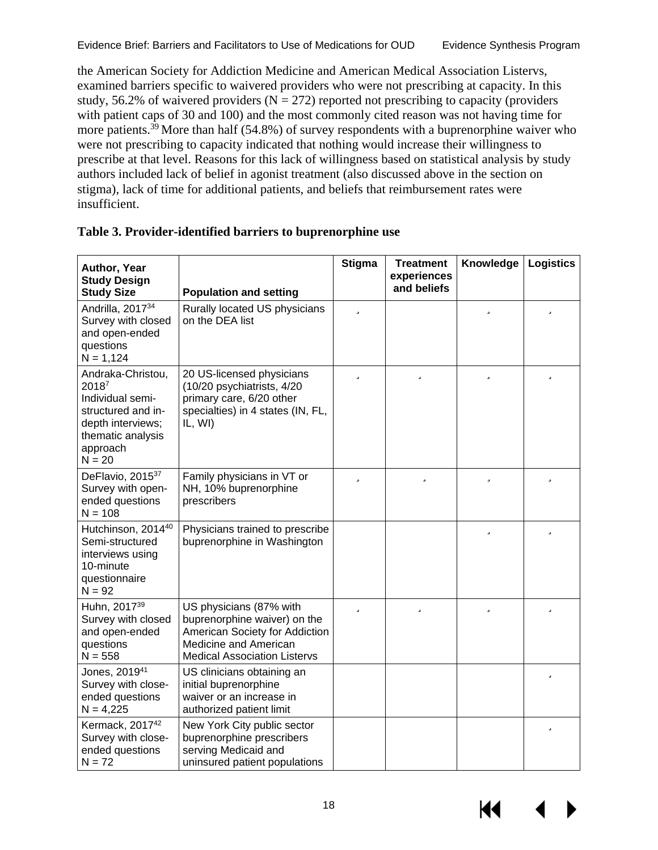the American Society for Addiction Medicine and American Medical Association Listervs, examined barriers specific to waivered providers who were not prescribing at capacity. In this study, 56.2% of waivered providers ( $N = 272$ ) reported not prescribing to capacity (providers with patient caps of 30 and 100) and the most commonly cited reason was not having time for more patients.<sup>[39](#page-39-6)</sup> More than half (54.8%) of survey respondents with a buprenorphine waiver who were not prescribing to capacity indicated that nothing would increase their willingness to prescribe at that level. Reasons for this lack of willingness based on statistical analysis by study authors included lack of belief in agonist treatment (also discussed above in the section on stigma), lack of time for additional patients, and beliefs that reimbursement rates were insufficient.

| Author, Year<br><b>Study Design</b><br><b>Study Size</b>                                                                               | <b>Population and setting</b>                                                                                                                             | <b>Stigma</b> | <b>Treatment</b><br>experiences<br>and beliefs | Knowledge | <b>Logistics</b> |
|----------------------------------------------------------------------------------------------------------------------------------------|-----------------------------------------------------------------------------------------------------------------------------------------------------------|---------------|------------------------------------------------|-----------|------------------|
| Andrilla, 2017 <sup>34</sup><br>Survey with closed<br>and open-ended<br>questions<br>$N = 1,124$                                       | Rurally located US physicians<br>on the DEA list                                                                                                          | ü             |                                                | ü         | ü                |
| Andraka-Christou,<br>20187<br>Individual semi-<br>structured and in-<br>depth interviews;<br>thematic analysis<br>approach<br>$N = 20$ | 20 US-licensed physicians<br>(10/20 psychiatrists, 4/20<br>primary care, 6/20 other<br>specialties) in 4 states (IN, FL,<br>IL, WI)                       | ü             | ü                                              | ü         | ü                |
| DeFlavio, 2015 <sup>37</sup><br>Survey with open-<br>ended questions<br>$N = 108$                                                      | Family physicians in VT or<br>NH, 10% buprenorphine<br>prescribers                                                                                        | ü             | ü                                              | ü         | ü                |
| Hutchinson, 201440<br>Semi-structured<br>interviews using<br>10-minute<br>questionnaire<br>$N = 92$                                    | Physicians trained to prescribe<br>buprenorphine in Washington                                                                                            |               |                                                | ü         | ü                |
| Huhn, 2017 <sup>39</sup><br>Survey with closed<br>and open-ended<br>questions<br>$N = 558$                                             | US physicians (87% with<br>buprenorphine waiver) on the<br>American Society for Addiction<br>Medicine and American<br><b>Medical Association Listervs</b> | ü             | ü                                              | ü         | ü                |
| Jones, 2019 <sup>41</sup><br>Survey with close-<br>ended questions<br>$N = 4,225$                                                      | US clinicians obtaining an<br>initial buprenorphine<br>waiver or an increase in<br>authorized patient limit                                               |               |                                                |           | ü                |
| Kermack, 2017 <sup>42</sup><br>Survey with close-<br>ended questions<br>$N = 72$                                                       | New York City public sector<br>buprenorphine prescribers<br>serving Medicaid and<br>uninsured patient populations                                         |               |                                                |           | ü                |

#### <span id="page-21-0"></span>**Table 3. Provider-identified barriers to buprenorphine use**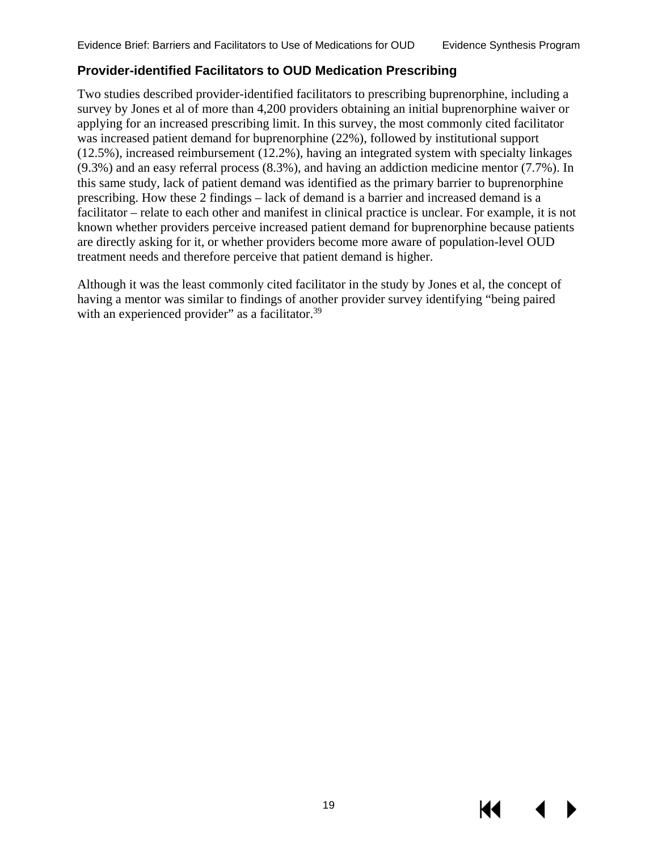#### <span id="page-22-0"></span>**Provider-identified Facilitators to OUD Medication Prescribing**

Two studies described provider-identified facilitators to prescribing buprenorphine, including a survey by Jones et al of more than 4,200 providers obtaining an initial buprenorphine waiver or applying for an increased prescribing limit. In this survey, the most commonly cited facilitator was increased patient demand for buprenorphine (22%), followed by institutional support (12.5%), increased reimbursement (12.2%), having an integrated system with specialty linkages (9.3%) and an easy referral process (8.3%), and having an addiction medicine mentor (7.7%). In this same study, lack of patient demand was identified as the primary barrier to buprenorphine prescribing. How these 2 findings – lack of demand is a barrier and increased demand is a facilitator – relate to each other and manifest in clinical practice is unclear. For example, it is not known whether providers perceive increased patient demand for buprenorphine because patients are directly asking for it, or whether providers become more aware of population-level OUD treatment needs and therefore perceive that patient demand is higher.

Although it was the least commonly cited facilitator in the study by Jones et al, the concept of having a mentor was similar to findings of another provider survey identifying "being paired with an experienced provider" as a facilitator.<sup>39</sup>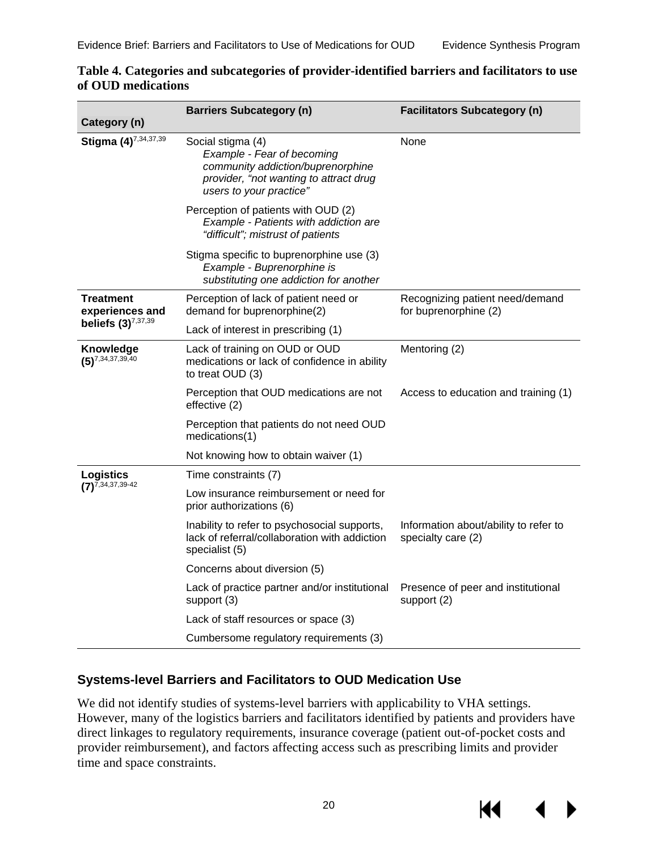| Category (n)                        | <b>Barriers Subcategory (n)</b>                                                                                                                           | <b>Facilitators Subcategory (n)</b>                         |
|-------------------------------------|-----------------------------------------------------------------------------------------------------------------------------------------------------------|-------------------------------------------------------------|
| Stigma (4)7,34,37,39                | Social stigma (4)<br>Example - Fear of becoming<br>community addiction/buprenorphine<br>provider, "not wanting to attract drug<br>users to your practice" | None                                                        |
|                                     | Perception of patients with OUD (2)<br>Example - Patients with addiction are<br>"difficult"; mistrust of patients                                         |                                                             |
|                                     | Stigma specific to buprenorphine use (3)<br>Example - Buprenorphine is<br>substituting one addiction for another                                          |                                                             |
| <b>Treatment</b><br>experiences and | Perception of lack of patient need or<br>demand for buprenorphine(2)                                                                                      | Recognizing patient need/demand<br>for buprenorphine (2)    |
| beliefs $(3)^{7,37,39}$             | Lack of interest in prescribing (1)                                                                                                                       |                                                             |
| Knowledge<br>$(5)^{7,34,37,39,40}$  | Lack of training on OUD or OUD<br>medications or lack of confidence in ability<br>to treat OUD (3)                                                        | Mentoring (2)                                               |
|                                     | Perception that OUD medications are not<br>effective (2)                                                                                                  | Access to education and training (1)                        |
|                                     | Perception that patients do not need OUD<br>medications(1)                                                                                                |                                                             |
|                                     | Not knowing how to obtain waiver (1)                                                                                                                      |                                                             |
| <b>Logistics</b>                    | Time constraints (7)                                                                                                                                      |                                                             |
| $(7)^{7,34,37,39-42}$               | Low insurance reimbursement or need for<br>prior authorizations (6)                                                                                       |                                                             |
|                                     | Inability to refer to psychosocial supports,<br>lack of referral/collaboration with addiction<br>specialist (5)                                           | Information about/ability to refer to<br>specialty care (2) |
|                                     | Concerns about diversion (5)                                                                                                                              |                                                             |
|                                     | Lack of practice partner and/or institutional<br>support (3)                                                                                              | Presence of peer and institutional<br>support (2)           |
|                                     | Lack of staff resources or space (3)                                                                                                                      |                                                             |
|                                     | Cumbersome regulatory requirements (3)                                                                                                                    |                                                             |

#### <span id="page-23-1"></span>**Table 4. Categories and subcategories of provider-identified barriers and facilitators to use of OUD medications**

#### <span id="page-23-0"></span>**Systems-level Barriers and Facilitators to OUD Medication Use**

We did not identify studies of systems-level barriers with applicability to VHA settings. However, many of the logistics barriers and facilitators identified by patients and providers have direct linkages to regulatory requirements, insurance coverage (patient out-of-pocket costs and provider reimbursement), and factors affecting access such as prescribing limits and provider time and space constraints.

К€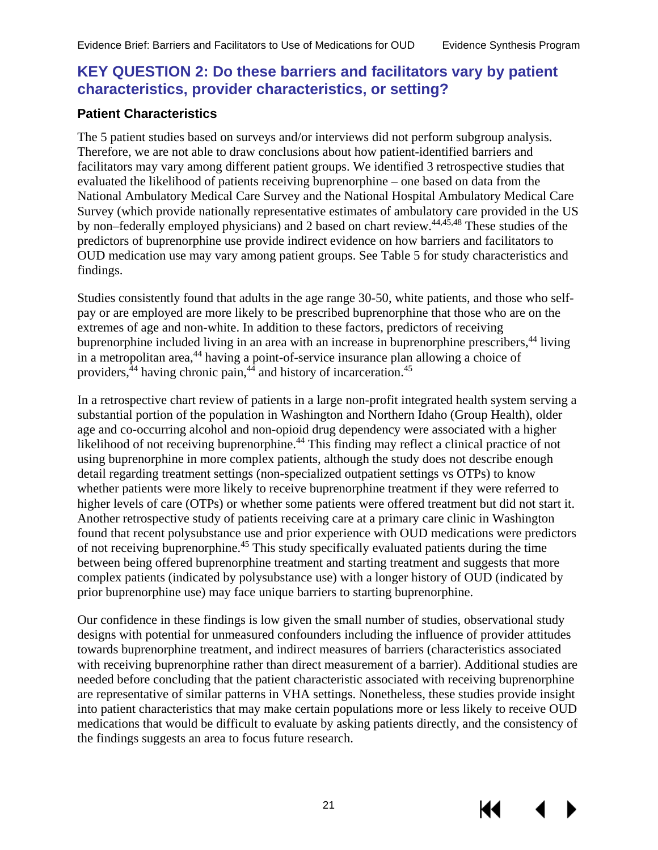#### <span id="page-24-0"></span>**KEY QUESTION 2: Do these barriers and facilitators vary by patient characteristics, provider characteristics, or setting?**

#### <span id="page-24-1"></span>**Patient Characteristics**

The 5 patient studies based on surveys and/or interviews did not perform subgroup analysis. Therefore, we are not able to draw conclusions about how patient-identified barriers and facilitators may vary among different patient groups. We identified 3 retrospective studies that evaluated the likelihood of patients receiving buprenorphine – one based on data from the National Ambulatory Medical Care Survey and the National Hospital Ambulatory Medical Care Survey (which provide nationally representative estimates of ambulatory care provided in the US by non–federally employed physicians) and 2 based on chart review[.44,](#page-39-2)[45,](#page-39-3)[48](#page-39-4) These studies of the predictors of buprenorphine use provide indirect evidence on how barriers and facilitators to OUD medication use may vary among patient groups. See Table 5 for study characteristics and findings.

Studies consistently found that adults in the age range 30-50, white patients, and those who selfpay or are employed are more likely to be prescribed buprenorphine that those who are on the extremes of age and non-white. In addition to these factors, predictors of receiving buprenorphine included living in an area with an increase in buprenorphine prescribers,<sup>[44](#page-39-2)</sup> living in a metropolitan area, [44](#page-39-2) having a point-of-service insurance plan allowing a choice of providers,<sup>[44](#page-39-2)</sup> having chronic pain,<sup>44</sup> and history of incarceration.<sup>45</sup>

In a retrospective chart review of patients in a large non-profit integrated health system serving a substantial portion of the population in Washington and Northern Idaho (Group Health), older age and co-occurring alcohol and non-opioid drug dependency were associated with a higher likelihood of not receiving buprenorphine.<sup>44</sup> This finding may reflect a clinical practice of not using buprenorphine in more complex patients, although the study does not describe enough detail regarding treatment settings (non-specialized outpatient settings vs OTPs) to know whether patients were more likely to receive buprenorphine treatment if they were referred to higher levels of care (OTPs) or whether some patients were offered treatment but did not start it. Another retrospective study of patients receiving care at a primary care clinic in Washington found that recent polysubstance use and prior experience with OUD medications were predictors of not receiving buprenorphine.[45](#page-39-3) This study specifically evaluated patients during the time between being offered buprenorphine treatment and starting treatment and suggests that more complex patients (indicated by polysubstance use) with a longer history of OUD (indicated by prior buprenorphine use) may face unique barriers to starting buprenorphine.

Our confidence in these findings is low given the small number of studies, observational study designs with potential for unmeasured confounders including the influence of provider attitudes towards buprenorphine treatment, and indirect measures of barriers (characteristics associated with receiving buprenorphine rather than direct measurement of a barrier). Additional studies are needed before concluding that the patient characteristic associated with receiving buprenorphine are representative of similar patterns in VHA settings. Nonetheless, these studies provide insight into patient characteristics that may make certain populations more or less likely to receive OUD medications that would be difficult to evaluate by asking patients directly, and the consistency of the findings suggests an area to focus future research.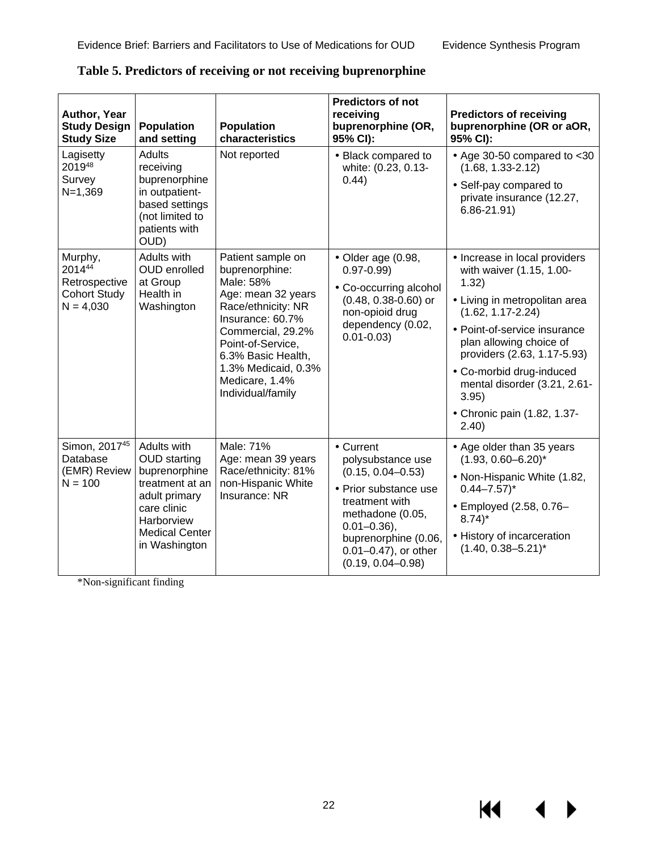$\blacktriangleleft$ 

 $\blacktriangleright$ 

**KK** 

| Author, Year<br><b>Study Design</b><br><b>Study Size</b>                 | <b>Population</b><br>and setting                                                                                                                               | <b>Population</b><br>characteristics                                                                                                                                                                                                           | <b>Predictors of not</b><br>receiving<br>buprenorphine (OR,<br>95% CI):                                                                                                                                            | <b>Predictors of receiving</b><br>buprenorphine (OR or aOR,<br>95% CI):                                                                                                                                                                                                                                                             |
|--------------------------------------------------------------------------|----------------------------------------------------------------------------------------------------------------------------------------------------------------|------------------------------------------------------------------------------------------------------------------------------------------------------------------------------------------------------------------------------------------------|--------------------------------------------------------------------------------------------------------------------------------------------------------------------------------------------------------------------|-------------------------------------------------------------------------------------------------------------------------------------------------------------------------------------------------------------------------------------------------------------------------------------------------------------------------------------|
| Lagisetty<br>201948<br>Survey<br>$N=1,369$                               | Adults<br>receiving<br>buprenorphine<br>in outpatient-<br>based settings<br>(not limited to<br>patients with<br>OUD)                                           | Not reported                                                                                                                                                                                                                                   | - Black compared to<br>white: (0.23, 0.13-<br>0.44)                                                                                                                                                                | $\cdot$ Age 30-50 compared to <30<br>$(1.68, 1.33 - 2.12)$<br>· Self-pay compared to<br>private insurance (12.27,<br>$6.86 - 21.91$                                                                                                                                                                                                 |
| Murphy,<br>201444<br>Retrospective<br><b>Cohort Study</b><br>$N = 4,030$ | Adults with<br><b>OUD</b> enrolled<br>at Group<br>Health in<br>Washington                                                                                      | Patient sample on<br>buprenorphine:<br>Male: 58%<br>Age: mean 32 years<br>Race/ethnicity: NR<br>Insurance: 60.7%<br>Commercial, 29.2%<br>Point-of-Service,<br>6.3% Basic Health,<br>1.3% Medicaid, 0.3%<br>Medicare, 1.4%<br>Individual/family | $\cdot$ Older age (0.98,<br>$0.97 - 0.99$<br>Co-occurring alcohol<br>(0.48, 0.38-0.60) or<br>non-opioid drug<br>dependency (0.02,<br>$0.01 - 0.03$                                                                 | · Increase in local providers<br>with waiver (1.15, 1.00-<br>1.32)<br>· Living in metropolitan area<br>$(1.62, 1.17 - 2.24)$<br>· Point-of-service insurance<br>plan allowing choice of<br>providers (2.63, 1.17-5.93)<br>· Co-morbid drug-induced<br>mental disorder (3.21, 2.61-<br>3.95)<br>- Chronic pain (1.82, 1.37-<br>2.40) |
| Simon, 201745<br>Database<br>(EMR) Review<br>$N = 100$                   | Adults with<br><b>OUD</b> starting<br>buprenorphine<br>treatment at an<br>adult primary<br>care clinic<br>Harborview<br><b>Medical Center</b><br>in Washington | Male: 71%<br>Age: mean 39 years<br>Race/ethnicity: 81%<br>non-Hispanic White<br>Insurance: NR                                                                                                                                                  | · Current<br>polysubstance use<br>$(0.15, 0.04 - 0.53)$<br>· Prior substance use<br>treatment with<br>methadone (0.05,<br>$0.01 - 0.36$ ,<br>buprenorphine (0.06,<br>0.01-0.47), or other<br>$(0.19, 0.04 - 0.98)$ | Age older than 35 years<br>$(1.93, 0.60 - 6.20)^*$<br>· Non-Hispanic White (1.82,<br>$0.44 - 7.57$ <sup>*</sup><br>- Employed (2.58, 0.76-<br>$8.74$ <sup>*</sup><br>History of incarceration<br>$(1.40, 0.38 - 5.21)^*$                                                                                                            |

<span id="page-25-0"></span>**Table 5. Predictors of receiving or not receiving buprenorphine**

\*Non-significant finding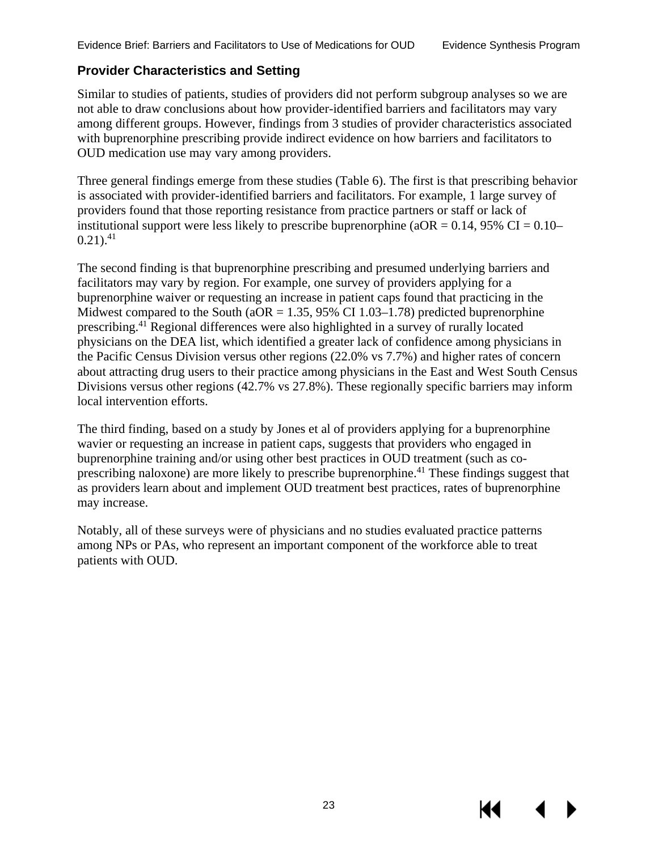#### <span id="page-26-0"></span>**Provider Characteristics and Setting**

Similar to studies of patients, studies of providers did not perform subgroup analyses so we are not able to draw conclusions about how provider-identified barriers and facilitators may vary among different groups. However, findings from 3 studies of provider characteristics associated with buprenorphine prescribing provide indirect evidence on how barriers and facilitators to OUD medication use may vary among providers.

Three general findings emerge from these studies (Table 6). The first is that prescribing behavior is associated with provider-identified barriers and facilitators. For example, 1 large survey of providers found that those reporting resistance from practice partners or staff or lack of institutional support were less likely to prescribe buprenorphine ( $aOR = 0.14$ , 95% CI = 0.10–  $0.21$ ).<sup>[41](#page-39-11)</sup>

The second finding is that buprenorphine prescribing and presumed underlying barriers and facilitators may vary by region. For example, one survey of providers applying for a buprenorphine waiver or requesting an increase in patient caps found that practicing in the Midwest compared to the South ( $aOR = 1.35$ , 95% CI 1.03–1.78) predicted buprenorphine prescribing[.41](#page-39-11) Regional differences were also highlighted in a survey of rurally located physicians on the DEA list, which identified a greater lack of confidence among physicians in the Pacific Census Division versus other regions (22.0% vs 7.7%) and higher rates of concern about attracting drug users to their practice among physicians in the East and West South Census Divisions versus other regions (42.7% vs 27.8%). These regionally specific barriers may inform local intervention efforts.

The third finding, based on a study by Jones et al of providers applying for a buprenorphine wavier or requesting an increase in patient caps, suggests that providers who engaged in buprenorphine training and/or using other best practices in OUD treatment (such as coprescribing naloxone) are more likely to prescribe buprenorphine.<sup>41</sup> These findings suggest that as providers learn about and implement OUD treatment best practices, rates of buprenorphine may increase.

Notably, all of these surveys were of physicians and no studies evaluated practice patterns among NPs or PAs, who represent an important component of the workforce able to treat patients with OUD.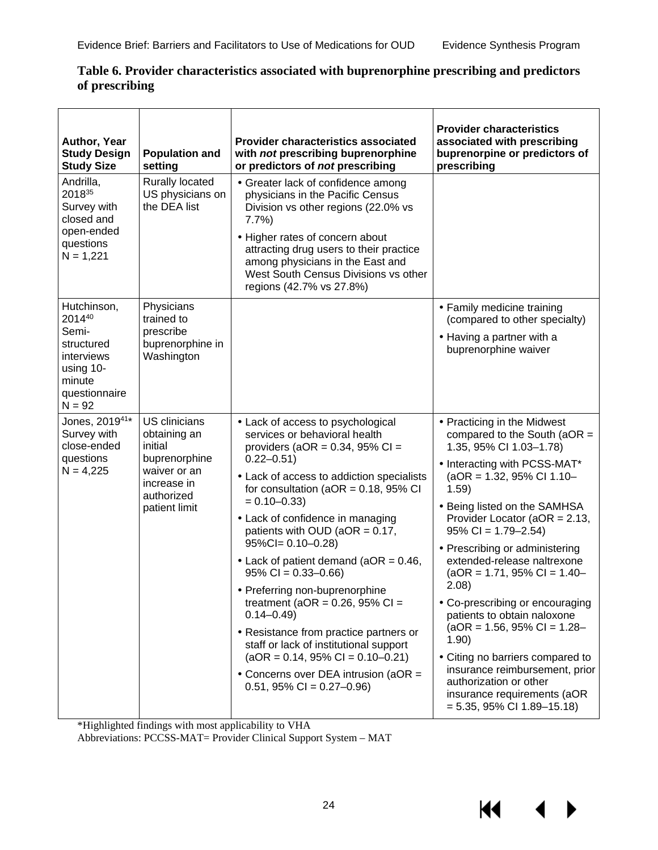| Author, Year<br><b>Study Design</b><br><b>Study Size</b>                                                       | <b>Population and</b><br>setting                                                                                               | <b>Provider characteristics associated</b><br>with not prescribing buprenorphine<br>or predictors of not prescribing                                                                                                                                                                                                                                                                                                                                                                                                                                                                                                                                                                                                    | <b>Provider characteristics</b><br>associated with prescribing<br>buprenorpine or predictors of<br>prescribing                                                                                                                                                                                                                                                                                                                                                                                                                                                                                                                                                        |
|----------------------------------------------------------------------------------------------------------------|--------------------------------------------------------------------------------------------------------------------------------|-------------------------------------------------------------------------------------------------------------------------------------------------------------------------------------------------------------------------------------------------------------------------------------------------------------------------------------------------------------------------------------------------------------------------------------------------------------------------------------------------------------------------------------------------------------------------------------------------------------------------------------------------------------------------------------------------------------------------|-----------------------------------------------------------------------------------------------------------------------------------------------------------------------------------------------------------------------------------------------------------------------------------------------------------------------------------------------------------------------------------------------------------------------------------------------------------------------------------------------------------------------------------------------------------------------------------------------------------------------------------------------------------------------|
| Andrilla,<br>201835<br>Survey with<br>closed and<br>open-ended<br>questions<br>$N = 1,221$                     | <b>Rurally located</b><br>US physicians on<br>the DEA list                                                                     | · Greater lack of confidence among<br>physicians in the Pacific Census<br>Division vs other regions (22.0% vs<br>7.7%<br>Higher rates of concern about<br>attracting drug users to their practice<br>among physicians in the East and<br>West South Census Divisions vs other<br>regions (42.7% vs 27.8%)                                                                                                                                                                                                                                                                                                                                                                                                               |                                                                                                                                                                                                                                                                                                                                                                                                                                                                                                                                                                                                                                                                       |
| Hutchinson,<br>201440<br>Semi-<br>structured<br>interviews<br>using 10-<br>minute<br>questionnaire<br>$N = 92$ | Physicians<br>trained to<br>prescribe<br>buprenorphine in<br>Washington                                                        |                                                                                                                                                                                                                                                                                                                                                                                                                                                                                                                                                                                                                                                                                                                         | · Family medicine training<br>(compared to other specialty)<br>- Having a partner with a<br>buprenorphine waiver                                                                                                                                                                                                                                                                                                                                                                                                                                                                                                                                                      |
| Jones, 201941*<br>Survey with<br>close-ended<br>questions<br>$N = 4,225$                                       | <b>US</b> clinicians<br>obtaining an<br>initial<br>buprenorphine<br>waiver or an<br>increase in<br>authorized<br>patient limit | Lack of access to psychological<br>services or behavioral health<br>providers (aOR = $0.34$ , 95% CI =<br>$0.22 - 0.51$<br>Lack of access to addiction specialists<br>for consultation ( $aOR = 0.18$ , 95% CI<br>$= 0.10 - 0.33$<br>Lack of confidence in managing<br>patients with OUD ( $aOR = 0.17$ ,<br>$95\%$ Cl= 0.10-0.28)<br>$\cdot$ Lack of patient demand (aOR = 0.46,<br>$95\%$ CI = 0.33-0.66)<br>Preferring non-buprenorphine<br>treatment ( $aOR = 0.26$ , 95% CI =<br>$0.14 - 0.49$<br>· Resistance from practice partners or<br>staff or lack of institutional support<br>$(aOR = 0.14, 95\% CI = 0.10 - 0.21)$<br>$\cdot$ Concerns over DEA intrusion (aOR =<br>$0.51, 95\% \text{ Cl} = 0.27 - 0.96$ | · Practicing in the Midwest<br>compared to the South ( $aOR =$<br>1.35, 95% CI 1.03-1.78)<br>· Interacting with PCSS-MAT*<br>$(aOR = 1.32, 95\% \text{ CI} 1.10-$<br>1.59)<br>- Being listed on the SAMHSA<br>Provider Locator (aOR = 2.13,<br>$95\%$ CI = 1.79-2.54)<br>· Prescribing or administering<br>extended-release naltrexone<br>$(aOR = 1.71, 95\% CI = 1.40-$<br>2.08)<br>. Co-prescribing or encouraging<br>patients to obtain naloxone<br>$(aOR = 1.56, 95\% CI = 1.28-$<br>1.90)<br>Citing no barriers compared to<br>insurance reimbursement, prior<br>authorization or other<br>insurance requirements (aOR<br>$= 5.35, 95\% \text{ CI} 1.89 - 15.18$ |

#### <span id="page-27-0"></span>**Table 6. Provider characteristics associated with buprenorphine prescribing and predictors of prescribing**

\*Highlighted findings with most applicability to VHA

Abbreviations: PCCSS-MAT= Provider Clinical Support System – MAT

KI.

▶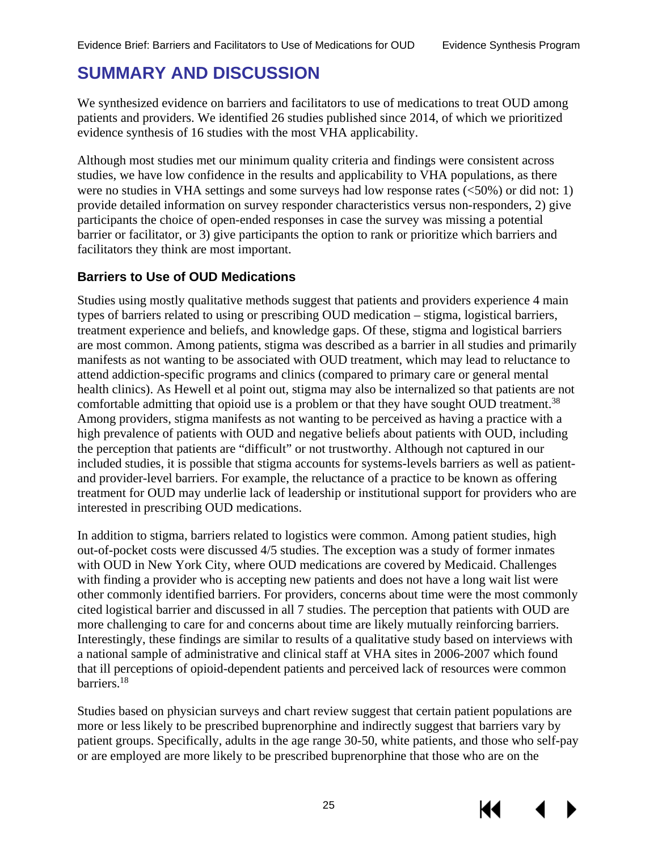# <span id="page-28-0"></span>**SUMMARY AND DISCUSSION**

We synthesized evidence on barriers and facilitators to use of medications to treat OUD among patients and providers. We identified 26 studies published since 2014, of which we prioritized evidence synthesis of 16 studies with the most VHA applicability.

Although most studies met our minimum quality criteria and findings were consistent across studies, we have low confidence in the results and applicability to VHA populations, as there were no studies in VHA settings and some surveys had low response rates (<50%) or did not: 1) provide detailed information on survey responder characteristics versus non-responders, 2) give participants the choice of open-ended responses in case the survey was missing a potential barrier or facilitator, or 3) give participants the option to rank or prioritize which barriers and facilitators they think are most important.

#### <span id="page-28-1"></span>**Barriers to Use of OUD Medications**

Studies using mostly qualitative methods suggest that patients and providers experience 4 main types of barriers related to using or prescribing OUD medication – stigma, logistical barriers, treatment experience and beliefs, and knowledge gaps. Of these, stigma and logistical barriers are most common. Among patients, stigma was described as a barrier in all studies and primarily manifests as not wanting to be associated with OUD treatment, which may lead to reluctance to attend addiction-specific programs and clinics (compared to primary care or general mental health clinics). As Hewell et al point out, stigma may also be internalized so that patients are not comfortable admitting that opioid use is a problem or that they have sought OUD treatment.<sup>38</sup> Among providers, stigma manifests as not wanting to be perceived as having a practice with a high prevalence of patients with OUD and negative beliefs about patients with OUD, including the perception that patients are "difficult" or not trustworthy. Although not captured in our included studies, it is possible that stigma accounts for systems-levels barriers as well as patientand provider-level barriers. For example, the reluctance of a practice to be known as offering treatment for OUD may underlie lack of leadership or institutional support for providers who are interested in prescribing OUD medications.

In addition to stigma, barriers related to logistics were common. Among patient studies, high out-of-pocket costs were discussed 4/5 studies. The exception was a study of former inmates with OUD in New York City, where OUD medications are covered by Medicaid. Challenges with finding a provider who is accepting new patients and does not have a long wait list were other commonly identified barriers. For providers, concerns about time were the most commonly cited logistical barrier and discussed in all 7 studies. The perception that patients with OUD are more challenging to care for and concerns about time are likely mutually reinforcing barriers. Interestingly, these findings are similar to results of a qualitative study based on interviews with a national sample of administrative and clinical staff at VHA sites in 2006-2007 which found that ill perceptions of opioid-dependent patients and perceived lack of resources were common barriers[.18](#page-38-0)

Studies based on physician surveys and chart review suggest that certain patient populations are more or less likely to be prescribed buprenorphine and indirectly suggest that barriers vary by patient groups. Specifically, adults in the age range 30-50, white patients, and those who self-pay or are employed are more likely to be prescribed buprenorphine that those who are on the

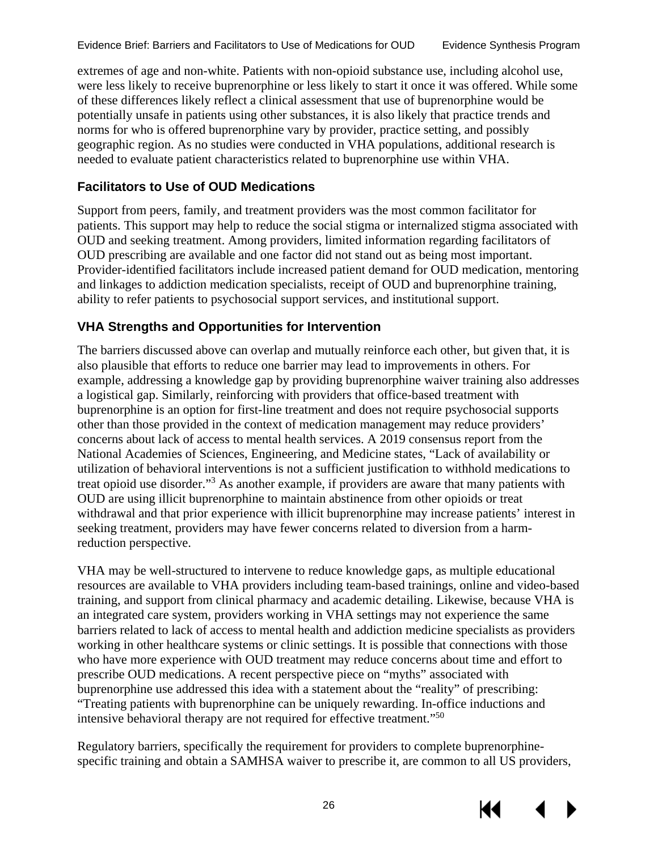extremes of age and non-white. Patients with non-opioid substance use, including alcohol use, were less likely to receive buprenorphine or less likely to start it once it was offered. While some of these differences likely reflect a clinical assessment that use of buprenorphine would be potentially unsafe in patients using other substances, it is also likely that practice trends and norms for who is offered buprenorphine vary by provider, practice setting, and possibly geographic region. As no studies were conducted in VHA populations, additional research is needed to evaluate patient characteristics related to buprenorphine use within VHA.

#### <span id="page-29-0"></span>**Facilitators to Use of OUD Medications**

Support from peers, family, and treatment providers was the most common facilitator for patients. This support may help to reduce the social stigma or internalized stigma associated with OUD and seeking treatment. Among providers, limited information regarding facilitators of OUD prescribing are available and one factor did not stand out as being most important. Provider-identified facilitators include increased patient demand for OUD medication, mentoring and linkages to addiction medication specialists, receipt of OUD and buprenorphine training, ability to refer patients to psychosocial support services, and institutional support.

#### <span id="page-29-1"></span>**VHA Strengths and Opportunities for Intervention**

The barriers discussed above can overlap and mutually reinforce each other, but given that, it is also plausible that efforts to reduce one barrier may lead to improvements in others. For example, addressing a knowledge gap by providing buprenorphine waiver training also addresses a logistical gap. Similarly, reinforcing with providers that office-based treatment with buprenorphine is an option for first-line treatment and does not require psychosocial supports other than those provided in the context of medication management may reduce providers' concerns about lack of access to mental health services. A 2019 consensus report from the National Academies of Sciences, Engineering, and Medicine states, "Lack of availability or utilization of behavioral interventions is not a sufficient justification to withhold medications to treat opioid use disorder."[3](#page-37-3) As another example, if providers are aware that many patients with OUD are using illicit buprenorphine to maintain abstinence from other opioids or treat withdrawal and that prior experience with illicit buprenorphine may increase patients' interest in seeking treatment, providers may have fewer concerns related to diversion from a harmreduction perspective.

VHA may be well-structured to intervene to reduce knowledge gaps, as multiple educational resources are available to VHA providers including team-based trainings, online and video-based training, and support from clinical pharmacy and academic detailing. Likewise, because VHA is an integrated care system, providers working in VHA settings may not experience the same barriers related to lack of access to mental health and addiction medicine specialists as providers working in other healthcare systems or clinic settings. It is possible that connections with those who have more experience with OUD treatment may reduce concerns about time and effort to prescribe OUD medications. A recent perspective piece on "myths" associated with buprenorphine use addressed this idea with a statement about the "reality" of prescribing: "Treating patients with buprenorphine can be uniquely rewarding. In-office inductions and intensive behavioral therapy are not required for effective treatment."[50](#page-39-14)

Regulatory barriers, specifically the requirement for providers to complete buprenorphinespecific training and obtain a SAMHSA waiver to prescribe it, are common to all US providers,

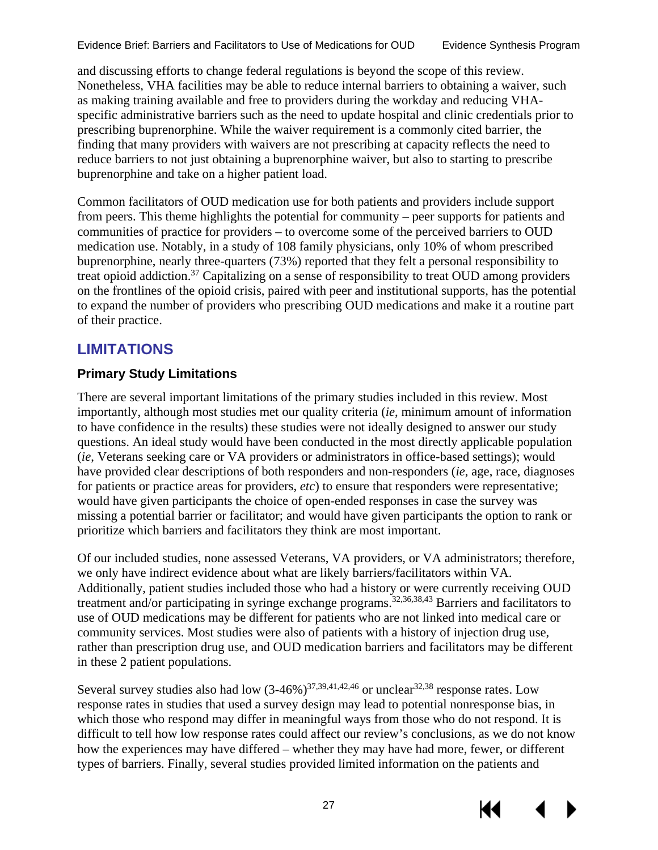and discussing efforts to change federal regulations is beyond the scope of this review. Nonetheless, VHA facilities may be able to reduce internal barriers to obtaining a waiver, such as making training available and free to providers during the workday and reducing VHAspecific administrative barriers such as the need to update hospital and clinic credentials prior to prescribing buprenorphine. While the waiver requirement is a commonly cited barrier, the finding that many providers with waivers are not prescribing at capacity reflects the need to reduce barriers to not just obtaining a buprenorphine waiver, but also to starting to prescribe buprenorphine and take on a higher patient load.

Common facilitators of OUD medication use for both patients and providers include support from peers. This theme highlights the potential for community – peer supports for patients and communities of practice for providers – to overcome some of the perceived barriers to OUD medication use. Notably, in a study of 108 family physicians, only 10% of whom prescribed buprenorphine, nearly three-quarters (73%) reported that they felt a personal responsibility to treat opioid addiction.[37](#page-39-5) Capitalizing on a sense of responsibility to treat OUD among providers on the frontlines of the opioid crisis, paired with peer and institutional supports, has the potential to expand the number of providers who prescribing OUD medications and make it a routine part of their practice.

### <span id="page-30-0"></span>**LIMITATIONS**

#### <span id="page-30-1"></span>**Primary Study Limitations**

There are several important limitations of the primary studies included in this review. Most importantly, although most studies met our quality criteria (*ie*, minimum amount of information to have confidence in the results) these studies were not ideally designed to answer our study questions. An ideal study would have been conducted in the most directly applicable population (*ie*, Veterans seeking care or VA providers or administrators in office-based settings); would have provided clear descriptions of both responders and non-responders (*ie*, age, race, diagnoses for patients or practice areas for providers, *etc*) to ensure that responders were representative; would have given participants the choice of open-ended responses in case the survey was missing a potential barrier or facilitator; and would have given participants the option to rank or prioritize which barriers and facilitators they think are most important.

Of our included studies, none assessed Veterans, VA providers, or VA administrators; therefore, we only have indirect evidence about what are likely barriers/facilitators within VA. Additionally, patient studies included those who had a history or were currently receiving OUD treatment and/or participating in syringe exchange programs. [32,](#page-38-7)[36,](#page-39-0)[38,](#page-39-1)[43](#page-39-9) Barriers and facilitators to use of OUD medications may be different for patients who are not linked into medical care or community services. Most studies were also of patients with a history of injection drug use, rather than prescription drug use, and OUD medication barriers and facilitators may be different in these 2 patient populations.

Several survey studies also had low  $(3-46%)^{37,39,41,42,46}$  $(3-46%)^{37,39,41,42,46}$  $(3-46%)^{37,39,41,42,46}$  $(3-46%)^{37,39,41,42,46}$  $(3-46%)^{37,39,41,42,46}$  $(3-46%)^{37,39,41,42,46}$  or unclear<sup>[32,](#page-38-7)[38](#page-39-1)</sup> response rates. Low response rates in studies that used a survey design may lead to potential nonresponse bias, in which those who respond may differ in meaningful ways from those who do not respond. It is difficult to tell how low response rates could affect our review's conclusions, as we do not know how the experiences may have differed – whether they may have had more, fewer, or different types of barriers. Finally, several studies provided limited information on the patients and

27



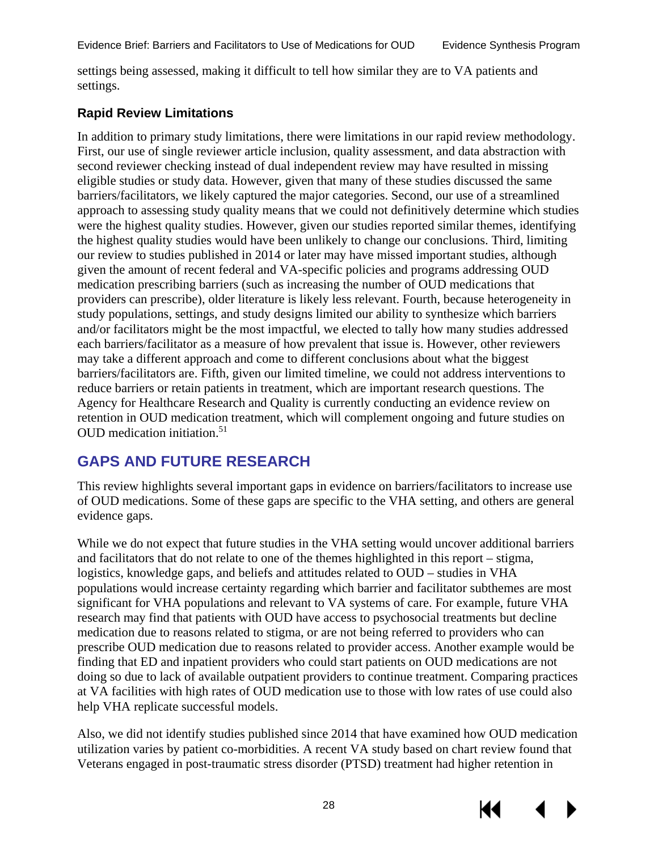settings being assessed, making it difficult to tell how similar they are to VA patients and settings.

#### <span id="page-31-0"></span>**Rapid Review Limitations**

In addition to primary study limitations, there were limitations in our rapid review methodology. First, our use of single reviewer article inclusion, quality assessment, and data abstraction with second reviewer checking instead of dual independent review may have resulted in missing eligible studies or study data. However, given that many of these studies discussed the same barriers/facilitators, we likely captured the major categories. Second, our use of a streamlined approach to assessing study quality means that we could not definitively determine which studies were the highest quality studies. However, given our studies reported similar themes, identifying the highest quality studies would have been unlikely to change our conclusions. Third, limiting our review to studies published in 2014 or later may have missed important studies, although given the amount of recent federal and VA-specific policies and programs addressing OUD medication prescribing barriers (such as increasing the number of OUD medications that providers can prescribe), older literature is likely less relevant. Fourth, because heterogeneity in study populations, settings, and study designs limited our ability to synthesize which barriers and/or facilitators might be the most impactful, we elected to tally how many studies addressed each barriers/facilitator as a measure of how prevalent that issue is. However, other reviewers may take a different approach and come to different conclusions about what the biggest barriers/facilitators are. Fifth, given our limited timeline, we could not address interventions to reduce barriers or retain patients in treatment, which are important research questions. The Agency for Healthcare Research and Quality is currently conducting an evidence review on retention in OUD medication treatment, which will complement ongoing and future studies on OUD medication initiation.<sup>[51](#page-40-0)</sup>

# <span id="page-31-1"></span>**GAPS AND FUTURE RESEARCH**

This review highlights several important gaps in evidence on barriers/facilitators to increase use of OUD medications. Some of these gaps are specific to the VHA setting, and others are general evidence gaps.

While we do not expect that future studies in the VHA setting would uncover additional barriers and facilitators that do not relate to one of the themes highlighted in this report – stigma, logistics, knowledge gaps, and beliefs and attitudes related to OUD – studies in VHA populations would increase certainty regarding which barrier and facilitator subthemes are most significant for VHA populations and relevant to VA systems of care. For example, future VHA research may find that patients with OUD have access to psychosocial treatments but decline medication due to reasons related to stigma, or are not being referred to providers who can prescribe OUD medication due to reasons related to provider access. Another example would be finding that ED and inpatient providers who could start patients on OUD medications are not doing so due to lack of available outpatient providers to continue treatment. Comparing practices at VA facilities with high rates of OUD medication use to those with low rates of use could also help VHA replicate successful models.

Also, we did not identify studies published since 2014 that have examined how OUD medication utilization varies by patient co-morbidities. A recent VA study based on chart review found that Veterans engaged in post-traumatic stress disorder (PTSD) treatment had higher retention in

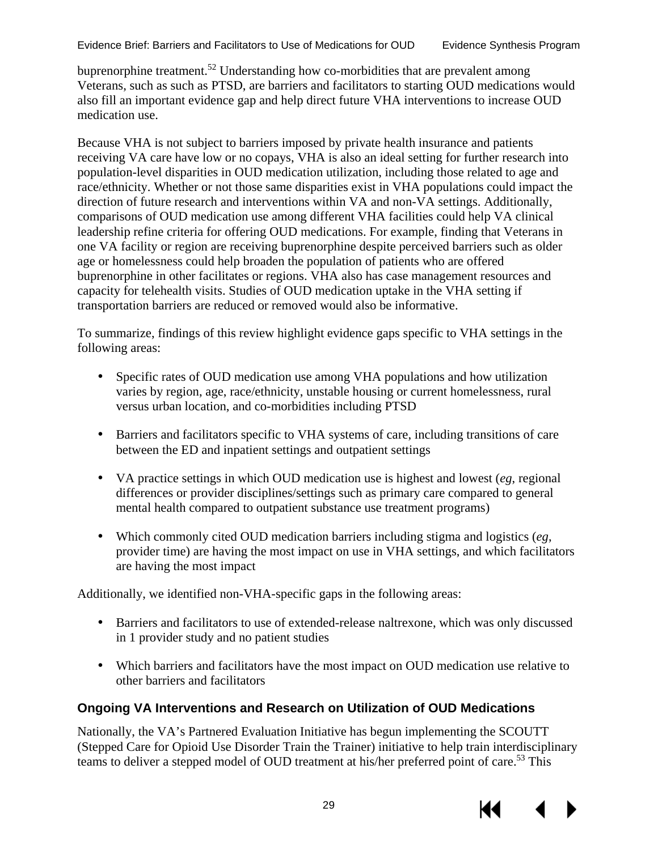buprenorphine treatment[.52](#page-40-1) Understanding how co-morbidities that are prevalent among Veterans, such as such as PTSD, are barriers and facilitators to starting OUD medications would also fill an important evidence gap and help direct future VHA interventions to increase OUD medication use.

Because VHA is not subject to barriers imposed by private health insurance and patients receiving VA care have low or no copays, VHA is also an ideal setting for further research into population-level disparities in OUD medication utilization, including those related to age and race/ethnicity. Whether or not those same disparities exist in VHA populations could impact the direction of future research and interventions within VA and non-VA settings. Additionally, comparisons of OUD medication use among different VHA facilities could help VA clinical leadership refine criteria for offering OUD medications. For example, finding that Veterans in one VA facility or region are receiving buprenorphine despite perceived barriers such as older age or homelessness could help broaden the population of patients who are offered buprenorphine in other facilitates or regions. VHA also has case management resources and capacity for telehealth visits. Studies of OUD medication uptake in the VHA setting if transportation barriers are reduced or removed would also be informative.

To summarize, findings of this review highlight evidence gaps specific to VHA settings in the following areas:

- $\mathbf{r}^{\left(1\right)}$ Specific rates of OUD medication use among VHA populations and how utilization varies by region, age, race/ethnicity, unstable housing or current homelessness, rural versus urban location, and co-morbidities including PTSD
- $\mathbb{R}^{\mathbb{Z}}$ Barriers and facilitators specific to VHA systems of care, including transitions of care between the ED and inpatient settings and outpatient settings
- VA practice settings in which OUD medication use is highest and lowest (*eg*, regional differences or provider disciplines/settings such as primary care compared to general mental health compared to outpatient substance use treatment programs)
- Which commonly cited OUD medication barriers including stigma and logistics (*eg*, provider time) are having the most impact on use in VHA settings, and which facilitators are having the most impact

Additionally, we identified non-VHA-specific gaps in the following areas:

- Barriers and facilitators to use of extended-release naltrexone, which was only discussed ¥. in 1 provider study and no patient studies
- Which barriers and facilitators have the most impact on OUD medication use relative to other barriers and facilitators

#### <span id="page-32-0"></span>**Ongoing VA Interventions and Research on Utilization of OUD Medications**

Nationally, the VA's Partnered Evaluation Initiative has begun implementing the SCOUTT (Stepped Care for Opioid Use Disorder Train the Trainer) initiative to help train interdisciplinary teams to deliver a stepped model of OUD treatment at his/her preferred point of care[.53](#page-40-2) This

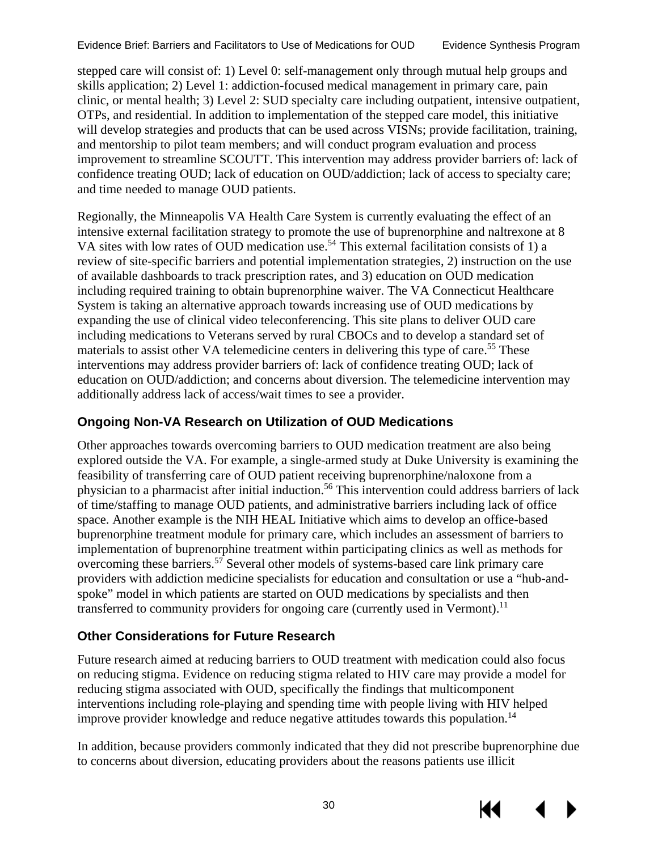stepped care will consist of: 1) Level 0: self-management only through mutual help groups and skills application; 2) Level 1: addiction-focused medical management in primary care, pain clinic, or mental health; 3) Level 2: SUD specialty care including outpatient, intensive outpatient, OTPs, and residential. In addition to implementation of the stepped care model, this initiative will develop strategies and products that can be used across VISNs; provide facilitation, training, and mentorship to pilot team members; and will conduct program evaluation and process improvement to streamline SCOUTT. This intervention may address provider barriers of: lack of confidence treating OUD; lack of education on OUD/addiction; lack of access to specialty care; and time needed to manage OUD patients.

Regionally, the Minneapolis VA Health Care System is currently evaluating the effect of an intensive external facilitation strategy to promote the use of buprenorphine and naltrexone at 8 VA sites with low rates of OUD medication use.<sup>[54](#page-40-3)</sup> This external facilitation consists of 1) a review of site-specific barriers and potential implementation strategies, 2) instruction on the use of available dashboards to track prescription rates, and 3) education on OUD medication including required training to obtain buprenorphine waiver. The VA Connecticut Healthcare System is taking an alternative approach towards increasing use of OUD medications by expanding the use of clinical video teleconferencing. This site plans to deliver OUD care including medications to Veterans served by rural CBOCs and to develop a standard set of materials to assist other VA telemedicine centers in delivering this type of care.<sup>55</sup> These interventions may address provider barriers of: lack of confidence treating OUD; lack of education on OUD/addiction; and concerns about diversion. The telemedicine intervention may additionally address lack of access/wait times to see a provider.

#### <span id="page-33-0"></span>**Ongoing Non-VA Research on Utilization of OUD Medications**

Other approaches towards overcoming barriers to OUD medication treatment are also being explored outside the VA. For example, a single-armed study at Duke University is examining the feasibility of transferring care of OUD patient receiving buprenorphine/naloxone from a physician to a pharmacist after initial induction.[56](#page-40-5) This intervention could address barriers of lack of time/staffing to manage OUD patients, and administrative barriers including lack of office space. Another example is the NIH HEAL Initiative which aims to develop an office-based buprenorphine treatment module for primary care, which includes an assessment of barriers to implementation of buprenorphine treatment within participating clinics as well as methods for overcoming these barriers. [57](#page-40-6) Several other models of systems-based care link primary care providers with addiction medicine specialists for education and consultation or use a "hub-andspoke" model in which patients are started on OUD medications by specialists and then transferred to community providers for ongoing care (currently used in Vermont).<sup>[11](#page-37-11)</sup>

#### <span id="page-33-1"></span>**Other Considerations for Future Research**

Future research aimed at reducing barriers to OUD treatment with medication could also focus on reducing stigma. Evidence on reducing stigma related to HIV care may provide a model for reducing stigma associated with OUD, specifically the findings that multicomponent interventions including role-playing and spending time with people living with HIV helped improve provider knowledge and reduce negative attitudes towards this population.<sup>14</sup>

In addition, because providers commonly indicated that they did not prescribe buprenorphine due to concerns about diversion, educating providers about the reasons patients use illicit

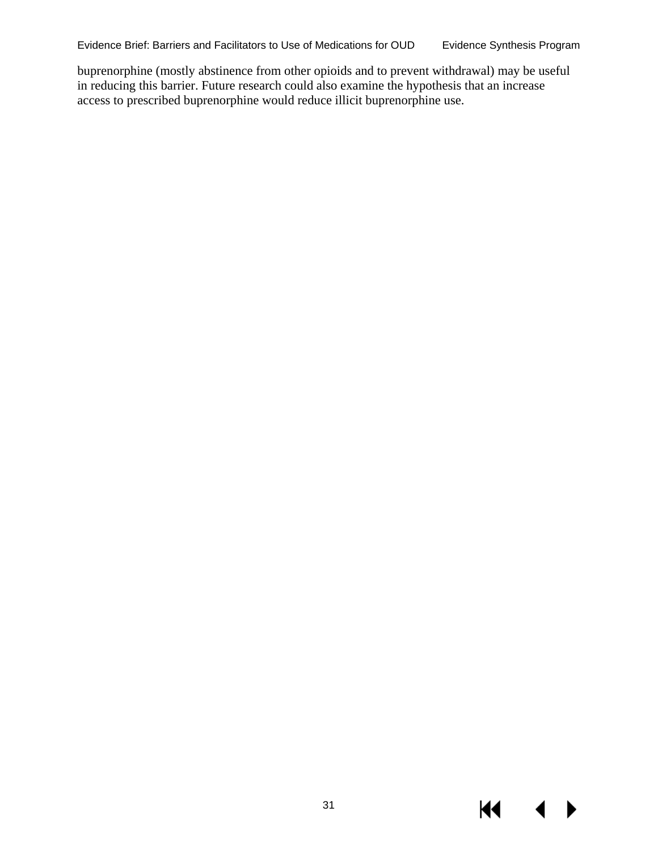buprenorphine (mostly abstinence from other opioids and to prevent withdrawal) may be useful in reducing this barrier. Future research could also examine the hypothesis that an increase access to prescribed buprenorphine would reduce illicit buprenorphine use.

 $\blacktriangleleft$ 

 $\blacktriangleright$ 

**K4**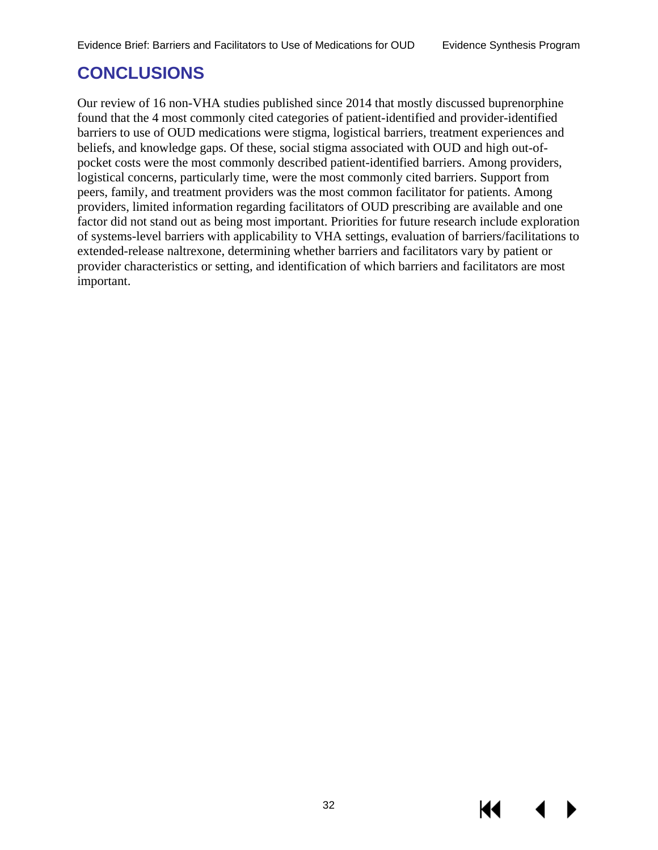# <span id="page-35-0"></span>**CONCLUSIONS**

Our review of 16 non-VHA studies published since 2014 that mostly discussed buprenorphine found that the 4 most commonly cited categories of patient-identified and provider-identified barriers to use of OUD medications were stigma, logistical barriers, treatment experiences and beliefs, and knowledge gaps. Of these, social stigma associated with OUD and high out-ofpocket costs were the most commonly described patient-identified barriers. Among providers, logistical concerns, particularly time, were the most commonly cited barriers. Support from peers, family, and treatment providers was the most common facilitator for patients. Among providers, limited information regarding facilitators of OUD prescribing are available and one factor did not stand out as being most important. Priorities for future research include exploration of systems-level barriers with applicability to VHA settings, evaluation of barriers/facilitations to extended-release naltrexone, determining whether barriers and facilitators vary by patient or provider characteristics or setting, and identification of which barriers and facilitators are most important.

KI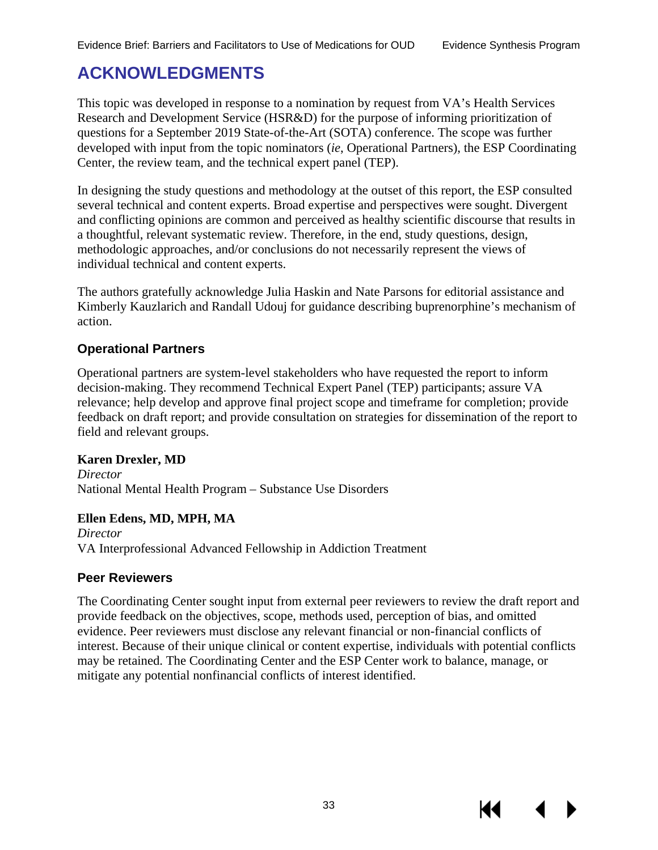# <span id="page-36-0"></span>**ACKNOWLEDGMENTS**

This topic was developed in response to a nomination by request from VA's Health Services Research and Development Service (HSR&D) for the purpose of informing prioritization of questions for a September 2019 State-of-the-Art (SOTA) conference. The scope was further developed with input from the topic nominators (*ie*, Operational Partners), the ESP Coordinating Center, the review team, and the technical expert panel (TEP).

In designing the study questions and methodology at the outset of this report, the ESP consulted several technical and content experts. Broad expertise and perspectives were sought. Divergent and conflicting opinions are common and perceived as healthy scientific discourse that results in a thoughtful, relevant systematic review. Therefore, in the end, study questions, design, methodologic approaches, and/or conclusions do not necessarily represent the views of individual technical and content experts.

The authors gratefully acknowledge Julia Haskin and Nate Parsons for editorial assistance and Kimberly Kauzlarich and Randall Udouj for guidance describing buprenorphine's mechanism of action.

#### **Operational Partners**

Operational partners are system-level stakeholders who have requested the report to inform decision-making. They recommend Technical Expert Panel (TEP) participants; assure VA relevance; help develop and approve final project scope and timeframe for completion; provide feedback on draft report; and provide consultation on strategies for dissemination of the report to field and relevant groups.

#### **Karen Drexler, MD**

*Director*  National Mental Health Program – Substance Use Disorders

#### **Ellen Edens, MD, MPH, MA**

*Director* VA Interprofessional Advanced Fellowship in Addiction Treatment

#### **Peer Reviewers**

The Coordinating Center sought input from external peer reviewers to review the draft report and provide feedback on the objectives, scope, methods used, perception of bias, and omitted evidence. Peer reviewers must disclose any relevant financial or non-financial conflicts of interest. Because of their unique clinical or content expertise, individuals with potential conflicts may be retained. The Coordinating Center and the ESP Center work to balance, manage, or mitigate any potential nonfinancial conflicts of interest identified.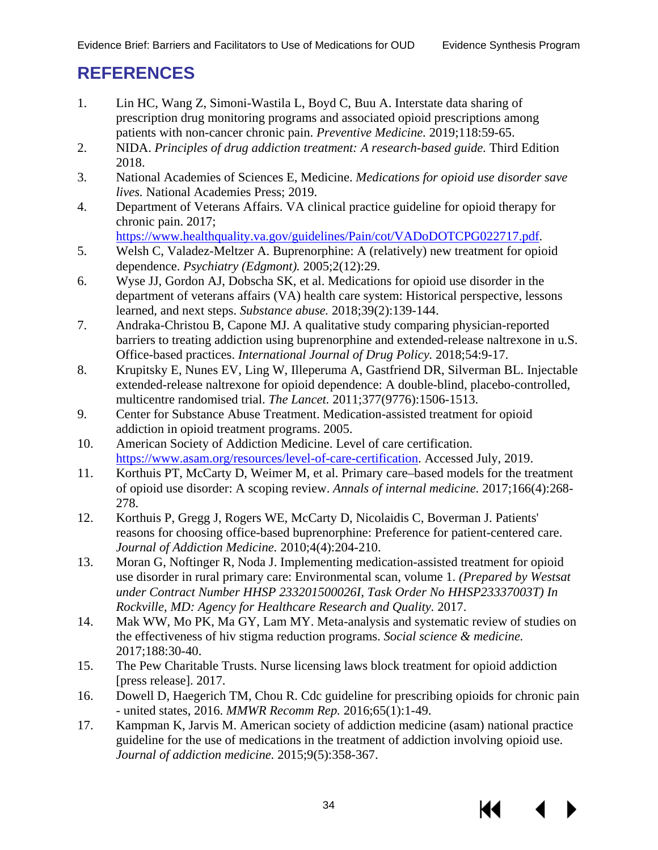# <span id="page-37-0"></span>**REFERENCES**

- <span id="page-37-1"></span>1. Lin HC, Wang Z, Simoni-Wastila L, Boyd C, Buu A. Interstate data sharing of prescription drug monitoring programs and associated opioid prescriptions among patients with non-cancer chronic pain. *Preventive Medicine.* 2019;118:59-65.
- <span id="page-37-2"></span>2. NIDA. *Principles of drug addiction treatment: A research-based guide.* Third Edition 2018.
- <span id="page-37-3"></span>3. National Academies of Sciences E, Medicine. *Medications for opioid use disorder save lives.* National Academies Press; 2019.
- <span id="page-37-4"></span>4. Department of Veterans Affairs. VA clinical practice guideline for opioid therapy for chronic pain. 2017;

[https://www.healthquality.va.gov/guidelines/Pain/cot/VADoDOTCPG022717.pdf.](https://www.healthquality.va.gov/guidelines/Pain/cot/VADoDOTCPG022717.pdf)

- <span id="page-37-5"></span>5. Welsh C, Valadez-Meltzer A. Buprenorphine: A (relatively) new treatment for opioid dependence. *Psychiatry (Edgmont).* 2005;2(12):29.
- <span id="page-37-6"></span>6. Wyse JJ, Gordon AJ, Dobscha SK, et al. Medications for opioid use disorder in the department of veterans affairs (VA) health care system: Historical perspective, lessons learned, and next steps. *Substance abuse.* 2018;39(2):139-144.
- <span id="page-37-7"></span>7. Andraka-Christou B, Capone MJ. A qualitative study comparing physician-reported barriers to treating addiction using buprenorphine and extended-release naltrexone in u.S. Office-based practices. *International Journal of Drug Policy.* 2018;54:9-17.
- <span id="page-37-8"></span>8. Krupitsky E, Nunes EV, Ling W, Illeperuma A, Gastfriend DR, Silverman BL. Injectable extended-release naltrexone for opioid dependence: A double-blind, placebo-controlled, multicentre randomised trial. *The Lancet.* 2011;377(9776):1506-1513.
- <span id="page-37-9"></span>9. Center for Substance Abuse Treatment. Medication-assisted treatment for opioid addiction in opioid treatment programs. 2005.
- <span id="page-37-10"></span>10. American Society of Addiction Medicine. Level of care certification. [https://www.asam.org/resources/level-of-care-certification.](https://www.asam.org/resources/level-of-care-certification) Accessed July, 2019.
- <span id="page-37-11"></span>11. Korthuis PT, McCarty D, Weimer M, et al. Primary care–based models for the treatment of opioid use disorder: A scoping review. *Annals of internal medicine.* 2017;166(4):268- 278.
- <span id="page-37-12"></span>12. Korthuis P, Gregg J, Rogers WE, McCarty D, Nicolaidis C, Boverman J. Patients' reasons for choosing office-based buprenorphine: Preference for patient-centered care. *Journal of Addiction Medicine.* 2010;4(4):204-210.
- <span id="page-37-13"></span>13. Moran G, Noftinger R, Noda J. Implementing medication-assisted treatment for opioid use disorder in rural primary care: Environmental scan, volume 1. *(Prepared by Westsat under Contract Number HHSP 233201500026I, Task Order No HHSP23337003T) In Rockville, MD: Agency for Healthcare Research and Quality.* 2017.
- <span id="page-37-14"></span>14. Mak WW, Mo PK, Ma GY, Lam MY. Meta-analysis and systematic review of studies on the effectiveness of hiv stigma reduction programs. *Social science & medicine.*  2017;188:30-40.
- <span id="page-37-15"></span>15. The Pew Charitable Trusts. Nurse licensing laws block treatment for opioid addiction [press release]. 2017.
- <span id="page-37-16"></span>16. Dowell D, Haegerich TM, Chou R. Cdc guideline for prescribing opioids for chronic pain - united states, 2016. *MMWR Recomm Rep.* 2016;65(1):1-49.
- <span id="page-37-17"></span>17. Kampman K, Jarvis M. American society of addiction medicine (asam) national practice guideline for the use of medications in the treatment of addiction involving opioid use. *Journal of addiction medicine.* 2015;9(5):358-367.

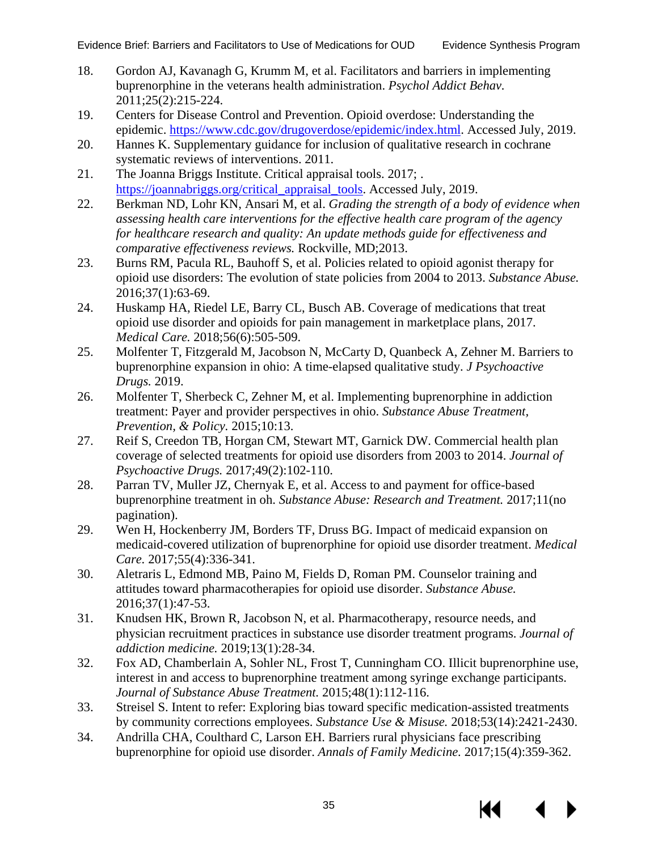- <span id="page-38-0"></span>18. Gordon AJ, Kavanagh G, Krumm M, et al. Facilitators and barriers in implementing buprenorphine in the veterans health administration. *Psychol Addict Behav.*  2011;25(2):215-224.
- <span id="page-38-1"></span>19. Centers for Disease Control and Prevention. Opioid overdose: Understanding the epidemic. [https://www.cdc.gov/drugoverdose/epidemic/index.html.](https://www.cdc.gov/drugoverdose/epidemic/index.html) Accessed July, 2019.
- <span id="page-38-2"></span>20. Hannes K. Supplementary guidance for inclusion of qualitative research in cochrane systematic reviews of interventions. 2011.
- <span id="page-38-3"></span>21. The Joanna Briggs Institute. Critical appraisal tools. 2017; . [https://joannabriggs.org/critical\\_appraisal\\_tools.](https://joannabriggs.org/critical_appraisal_tools) Accessed July, 2019.
- <span id="page-38-4"></span>22. Berkman ND, Lohr KN, Ansari M, et al. *Grading the strength of a body of evidence when assessing health care interventions for the effective health care program of the agency for healthcare research and quality: An update methods guide for effectiveness and comparative effectiveness reviews.* Rockville, MD;2013.
- <span id="page-38-5"></span>23. Burns RM, Pacula RL, Bauhoff S, et al. Policies related to opioid agonist therapy for opioid use disorders: The evolution of state policies from 2004 to 2013. *Substance Abuse.*  2016;37(1):63-69.
- 24. Huskamp HA, Riedel LE, Barry CL, Busch AB. Coverage of medications that treat opioid use disorder and opioids for pain management in marketplace plans, 2017. *Medical Care.* 2018;56(6):505-509.
- 25. Molfenter T, Fitzgerald M, Jacobson N, McCarty D, Quanbeck A, Zehner M. Barriers to buprenorphine expansion in ohio: A time-elapsed qualitative study. *J Psychoactive Drugs.* 2019.
- 26. Molfenter T, Sherbeck C, Zehner M, et al. Implementing buprenorphine in addiction treatment: Payer and provider perspectives in ohio. *Substance Abuse Treatment, Prevention, & Policy.* 2015;10:13.
- 27. Reif S, Creedon TB, Horgan CM, Stewart MT, Garnick DW. Commercial health plan coverage of selected treatments for opioid use disorders from 2003 to 2014. *Journal of Psychoactive Drugs.* 2017;49(2):102-110.
- <span id="page-38-6"></span>28. Parran TV, Muller JZ, Chernyak E, et al. Access to and payment for office-based buprenorphine treatment in oh. *Substance Abuse: Research and Treatment.* 2017;11(no pagination).
- 29. Wen H, Hockenberry JM, Borders TF, Druss BG. Impact of medicaid expansion on medicaid-covered utilization of buprenorphine for opioid use disorder treatment. *Medical Care.* 2017;55(4):336-341.
- <span id="page-38-9"></span>30. Aletraris L, Edmond MB, Paino M, Fields D, Roman PM. Counselor training and attitudes toward pharmacotherapies for opioid use disorder. *Substance Abuse.*  2016;37(1):47-53.
- <span id="page-38-10"></span>31. Knudsen HK, Brown R, Jacobson N, et al. Pharmacotherapy, resource needs, and physician recruitment practices in substance use disorder treatment programs. *Journal of addiction medicine.* 2019;13(1):28-34.
- <span id="page-38-7"></span>32. Fox AD, Chamberlain A, Sohler NL, Frost T, Cunningham CO. Illicit buprenorphine use, interest in and access to buprenorphine treatment among syringe exchange participants. *Journal of Substance Abuse Treatment.* 2015;48(1):112-116.
- <span id="page-38-11"></span>33. Streisel S. Intent to refer: Exploring bias toward specific medication-assisted treatments by community corrections employees. *Substance Use & Misuse.* 2018;53(14):2421-2430.
- <span id="page-38-8"></span>34. Andrilla CHA, Coulthard C, Larson EH. Barriers rural physicians face prescribing buprenorphine for opioid use disorder. *Annals of Family Medicine.* 2017;15(4):359-362.

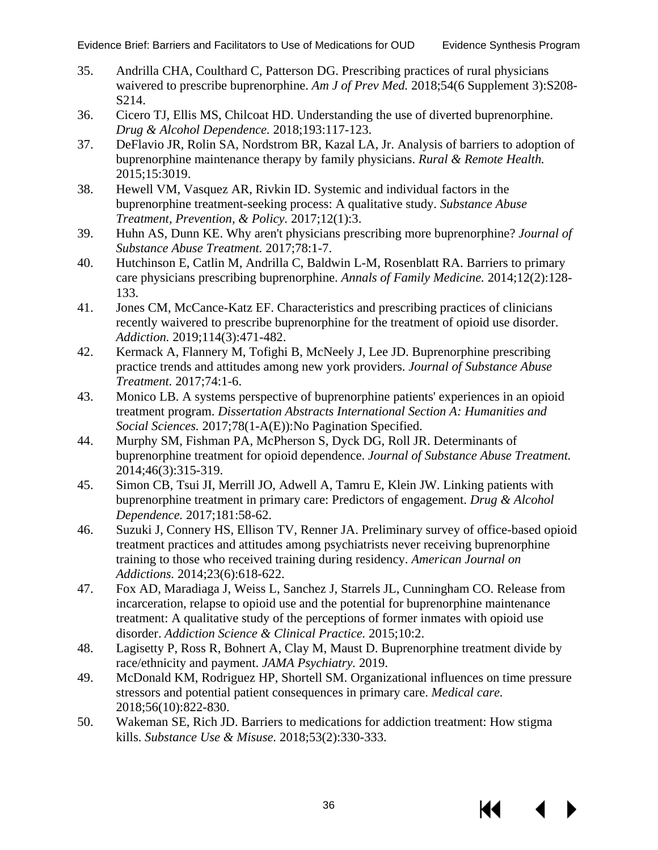- <span id="page-39-7"></span>35. Andrilla CHA, Coulthard C, Patterson DG. Prescribing practices of rural physicians waivered to prescribe buprenorphine. *Am J of Prev Med.* 2018;54(6 Supplement 3):S208- S214.
- <span id="page-39-0"></span>36. Cicero TJ, Ellis MS, Chilcoat HD. Understanding the use of diverted buprenorphine. *Drug & Alcohol Dependence.* 2018;193:117-123.
- <span id="page-39-5"></span>37. DeFlavio JR, Rolin SA, Nordstrom BR, Kazal LA, Jr. Analysis of barriers to adoption of buprenorphine maintenance therapy by family physicians. *Rural & Remote Health.*  2015;15:3019.
- <span id="page-39-1"></span>38. Hewell VM, Vasquez AR, Rivkin ID. Systemic and individual factors in the buprenorphine treatment-seeking process: A qualitative study. *Substance Abuse Treatment, Prevention, & Policy.* 2017;12(1):3.
- <span id="page-39-6"></span>39. Huhn AS, Dunn KE. Why aren't physicians prescribing more buprenorphine? *Journal of Substance Abuse Treatment.* 2017;78:1-7.
- <span id="page-39-13"></span>40. Hutchinson E, Catlin M, Andrilla C, Baldwin L-M, Rosenblatt RA. Barriers to primary care physicians prescribing buprenorphine. *Annals of Family Medicine.* 2014;12(2):128- 133.
- <span id="page-39-11"></span>41. Jones CM, McCance-Katz EF. Characteristics and prescribing practices of clinicians recently waivered to prescribe buprenorphine for the treatment of opioid use disorder. *Addiction.* 2019;114(3):471-482.
- <span id="page-39-12"></span>42. Kermack A, Flannery M, Tofighi B, McNeely J, Lee JD. Buprenorphine prescribing practice trends and attitudes among new york providers. *Journal of Substance Abuse Treatment.* 2017;74:1-6.
- <span id="page-39-9"></span>43. Monico LB. A systems perspective of buprenorphine patients' experiences in an opioid treatment program. *Dissertation Abstracts International Section A: Humanities and Social Sciences.* 2017;78(1-A(E)):No Pagination Specified.
- <span id="page-39-2"></span>44. Murphy SM, Fishman PA, McPherson S, Dyck DG, Roll JR. Determinants of buprenorphine treatment for opioid dependence. *Journal of Substance Abuse Treatment.*  2014;46(3):315-319.
- <span id="page-39-3"></span>45. Simon CB, Tsui JI, Merrill JO, Adwell A, Tamru E, Klein JW. Linking patients with buprenorphine treatment in primary care: Predictors of engagement. *Drug & Alcohol Dependence.* 2017;181:58-62.
- <span id="page-39-15"></span>46. Suzuki J, Connery HS, Ellison TV, Renner JA. Preliminary survey of office-based opioid treatment practices and attitudes among psychiatrists never receiving buprenorphine training to those who received training during residency. *American Journal on Addictions.* 2014;23(6):618-622.
- <span id="page-39-8"></span>47. Fox AD, Maradiaga J, Weiss L, Sanchez J, Starrels JL, Cunningham CO. Release from incarceration, relapse to opioid use and the potential for buprenorphine maintenance treatment: A qualitative study of the perceptions of former inmates with opioid use disorder. *Addiction Science & Clinical Practice.* 2015;10:2.
- <span id="page-39-4"></span>48. Lagisetty P, Ross R, Bohnert A, Clay M, Maust D. Buprenorphine treatment divide by race/ethnicity and payment. *JAMA Psychiatry.* 2019.
- <span id="page-39-10"></span>49. McDonald KM, Rodriguez HP, Shortell SM. Organizational influences on time pressure stressors and potential patient consequences in primary care. *Medical care.*  2018;56(10):822-830.
- <span id="page-39-14"></span>50. Wakeman SE, Rich JD. Barriers to medications for addiction treatment: How stigma kills. *Substance Use & Misuse.* 2018;53(2):330-333.